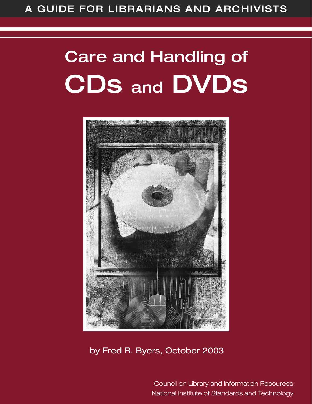# Care and Handling of CDs and DVDs



by Fred R. Byers, October 2003

National Institute of Standards and Technology Council on Library and Information Resources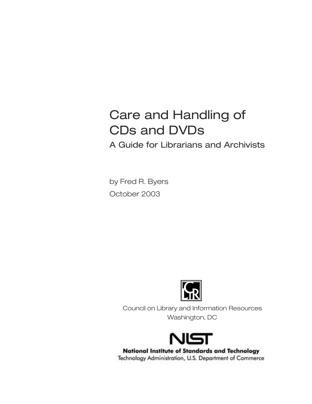## Care and Handling of CDs and DVDs

A Guide for Librarians and Archivists

by Fred R. Byers October 2003



Council on Library and Information Resources Washington, DC



**National Institute of Standards and Technology** Technology Administration, U.S. Department of Commerce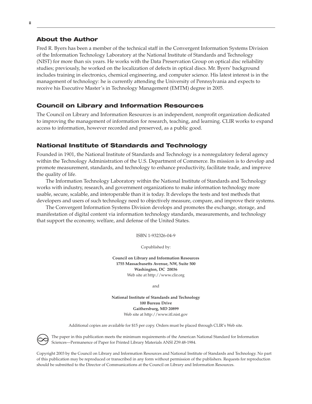#### About the Author

Fred R. Byers has been a member of the technical staff in the Convergent Information Systems Division of the Information Technology Laboratory at the National Institute of Standards and Technology (NIST) for more than six years. He works with the Data Preservation Group on optical disc reliability studies; previously, he worked on the localization of defects in optical discs. Mr. Byers' background includes training in electronics, chemical engineering, and computer science. His latest interest is in the management of technology: he is currently attending the University of Pennsylvania and expects to receive his Executive Master's in Technology Management (EMTM) degree in 2005.

#### Council on Library and Information Resources

The Council on Library and Information Resources is an independent, nonprofit organization dedicated to improving the management of information for research, teaching, and learning. CLIR works to expand access to information, however recorded and preserved, as a public good.

#### National Institute of Standards and Technology

Founded in 1901, the National Institute of Standards and Technology is a nonregulatory federal agency within the Technology Administration of the U.S. Department of Commerce. Its mission is to develop and promote measurement, standards, and technology to enhance productivity, facilitate trade, and improve the quality of life.

The Information Technology Laboratory within the National Institute of Standards and Technology works with industry, research, and government organizations to make information technology more usable, secure, scalable, and interoperable than it is today. It develops the tests and test methods that developers and users of such technology need to objectively measure, compare, and improve their systems.

The Convergent Information Systems Division develops and promotes the exchange, storage, and manifestation of digital content via information technology standards, measurements, and technology that support the economy, welfare, and defense of the United States.

ISBN 1-932326-04-9

Copublished by:

**Council on Library and Information Resources 1755 Massachusetts Avenue, NW, Suite 500 Washington, DC 20036** Web site at http://www.clir.org

and

**National Institute of Standards and Technology 100 Bureau Drive Gaithersburg, MD 20899** Web site at http://www.itl.nist.gov

Additional copies are available for \$15 per copy. Orders must be placed through CLIR's Web site.

The paper in this publication meets the minimum requirements of the American National Standard for Information Sciences—Permanence of Paper for Printed Library Materials ANSI Z39.48-1984.  $\infty$ 

Copyright 2003 by the Council on Library and Information Resources and National Institute of Standards and Technology. No part of this publication may be reproduced or transcribed in any form without permission of the publishers. Requests for reproduction should be submitted to the Director of Communications at the Council on Library and Information Resources.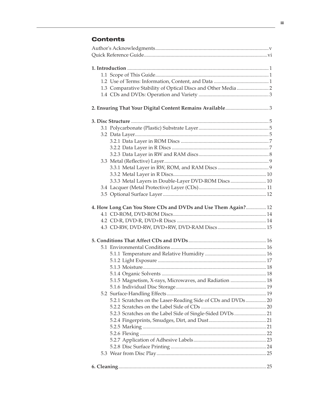## **Contents**

| 3.3.3 Metal Layers in Double-Layer DVD-ROM Discs  10          |  |
|---------------------------------------------------------------|--|
|                                                               |  |
|                                                               |  |
|                                                               |  |
| 4. How Long Can You Store CDs and DVDs and Use Them Again? 12 |  |
|                                                               |  |
|                                                               |  |
|                                                               |  |
|                                                               |  |
|                                                               |  |
|                                                               |  |
|                                                               |  |
|                                                               |  |
|                                                               |  |
| 5.1.5 Magnetism, X-rays, Microwaves, and Radiation  18        |  |
|                                                               |  |
|                                                               |  |
| 5.2.1 Scratches on the Laser-Reading Side of CDs and DVDs  20 |  |
|                                                               |  |
| 5.2.3 Scratches on the Label Side of Single-Sided DVDs  21    |  |
|                                                               |  |
|                                                               |  |
|                                                               |  |
|                                                               |  |
|                                                               |  |
|                                                               |  |
|                                                               |  |
|                                                               |  |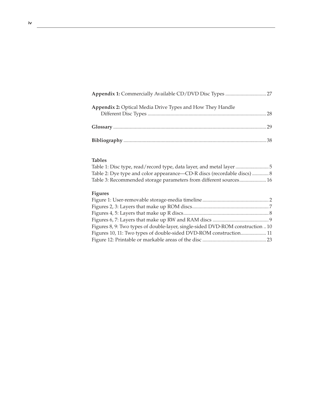| Appendix 1: Commercially Available CD/DVD Disc Types  27         |  |
|------------------------------------------------------------------|--|
| <b>Appendix 2: Optical Media Drive Types and How They Handle</b> |  |
|                                                                  |  |
|                                                                  |  |

#### **Tables**

| Table 1: Disc type, read/record type, data layer, and metal layer       |  |
|-------------------------------------------------------------------------|--|
| Table 2: Dye type and color appearance—CD-R discs (recordable discs)  8 |  |
| Table 3: Recommended storage parameters from different sources 16       |  |

### **Figures**

| Figures 8, 9: Two types of double-layer, single-sided DVD-ROM construction  10 |  |
|--------------------------------------------------------------------------------|--|
| Figures 10, 11: Two types of double-sided DVD-ROM construction 11              |  |
|                                                                                |  |
|                                                                                |  |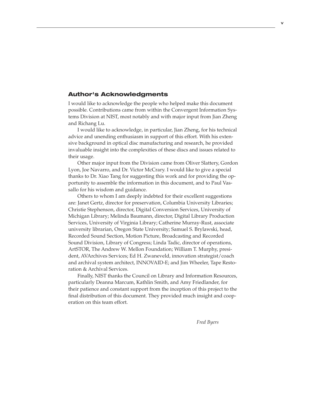#### Author's Acknowledgments

I would like to acknowledge the people who helped make this document possible. Contributions came from within the Convergent Information Systems Division at NIST, most notably and with major input from Jian Zheng and Richang Lu.

I would like to acknowledge, in particular, Jian Zheng, for his technical advice and unending enthusiasm in support of this effort. With his extensive background in optical disc manufacturing and research, he provided invaluable insight into the complexities of these discs and issues related to their usage.

Other major input from the Division came from Oliver Slattery, Gordon Lyon, Joe Navarro, and Dr. Victor McCrary. I would like to give a special thanks to Dr. Xiao Tang for suggesting this work and for providing the opportunity to assemble the information in this document, and to Paul Vassallo for his wisdom and guidance.

Others to whom I am deeply indebted for their excellent suggestions are: Janet Gertz, director for preservation, Columbia University Libraries; Christie Stephenson, director, Digital Conversion Services, University of Michigan Library; Melinda Baumann, director, Digital Library Production Services, University of Virginia Library; Catherine Murray-Rust, associate university librarian, Oregon State University; Samuel S. Brylawski, head, Recorded Sound Section, Motion Picture, Broadcasting and Recorded Sound Division, Library of Congress; Linda Tadic, director of operations, ArtSTOR, The Andrew W. Mellon Foundation; William T. Murphy, president, AVArchives Services; Ed H. Zwaneveld, innovation strategist/coach and archival system architect, INNOVAID-E; and Jim Wheeler, Tape Restoration & Archival Services.

Finally, NIST thanks the Council on Library and Information Resources, particularly Deanna Marcum, Kathlin Smith, and Amy Friedlander, for their patience and constant support from the inception of this project to the final distribution of this document. They provided much insight and cooperation on this team effort.

 *Fred Byers*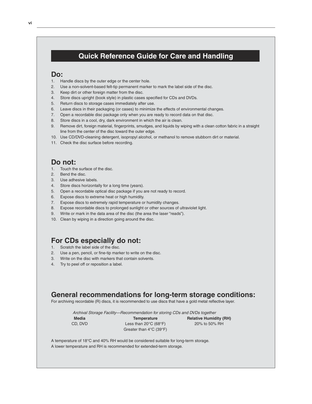## **Quick Reference Guide for Care and Handling**

#### **Do:**

- 1. Handle discs by the outer edge or the center hole.
- 2. Use a non-solvent-based felt-tip permanent marker to mark the label side of the disc.
- 3. Keep dirt or other foreign matter from the disc.
- 4. Store discs upright (book style) in plastic cases specified for CDs and DVDs.
- 5. Return discs to storage cases immediately after use.
- 6. Leave discs in their packaging (or cases) to minimize the effects of environmental changes.
- 7. Open a recordable disc package only when you are ready to record data on that disc.
- 8. Store discs in a cool, dry, dark environment in which the air is clean.
- 9. Remove dirt, foreign material, fingerprints, smudges, and liquids by wiping with a clean cotton fabric in a straight line from the center of the disc toward the outer edge.
- 10. Use CD/DVD-cleaning detergent, isopropyl alcohol, or methanol to remove stubborn dirt or material.
- 11. Check the disc surface before recording.

## **Do not:**

- 1. Touch the surface of the disc.
- 2. Bend the disc.
- 3. Use adhesive labels.
- 4. Store discs horizontally for a long time (years).
- 5. Open a recordable optical disc package if you are not ready to record.
- 6. Expose discs to extreme heat or high humidity.
- 7. Expose discs to extremely rapid temperature or humidity changes.
- 8. Expose recordable discs to prolonged sunlight or other sources of ultraviolet light.
- 9. Write or mark in the data area of the disc (the area the laser "reads").
- 10. Clean by wiping in a direction going around the disc.

## **For CDs especially do not:**

- 1. Scratch the label side of the disc.
- 2. Use a pen, pencil, or fine-tip marker to write on the disc.
- 3. Write on the disc with markers that contain solvents.
- 4. Try to peel off or reposition a label.

## **General recommendations for long-term storage conditions:**

For archiving recordable (R) discs, it is recommended to use discs that have a gold metal reflective layer.

|       | Archival Storage Facility—Recommendation for storing CDs and DVDs together |                               |
|-------|----------------------------------------------------------------------------|-------------------------------|
| Media | Temperature                                                                | <b>Relative Humidity (RH)</b> |

CD, DVD Less than 20°C (68°F) 20% to 50% RH Greater than 4°C (39°F)

A temperature of 18°C and 40% RH would be considered suitable for long-term storage. A lower temperature and RH is recommended for extended-term storage.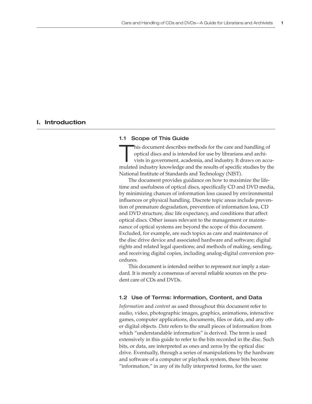#### **I. Introduction**

#### 1.1 Scope of This Guide

This document describes methods for the care and handling of optical discs and is intended for use by librarians and archivists in government, academia, and industry. It draws on accumulated in hartman property and the mon optical discs and is intended for use by librarians and archivists in government, academia, and industry. It draws on accumulated industry knowledge and the results of specific studies by the National Institute of Standards and Technology (NIST).

The document provides guidance on how to maximize the lifetime and usefulness of optical discs, specifically CD and DVD media, by minimizing chances of information loss caused by environmental influences or physical handling. Discrete topic areas include prevention of premature degradation, prevention of information loss, CD and DVD structure, disc life expectancy, and conditions that affect optical discs. Other issues relevant to the management or maintenance of optical systems are beyond the scope of this document. Excluded, for example, are such topics as care and maintenance of the disc drive device and associated hardware and software; digital rights and related legal questions; and methods of making, sending, and receiving digital copies, including analog-digital conversion procedures.

This document is intended neither to represent nor imply a standard. It is merely a consensus of several reliable sources on the prudent care of CDs and DVDs.

#### 1.2 Use of Terms: Information, Content, and Data

*Information* and *content* as used throughout this document refer to audio, video, photographic images, graphics, animations, interactive games, computer applications, documents, files or data, and any other digital objects. *Data* refers to the small pieces of information from which "understandable information" is derived. The term is used extensively in this guide to refer to the bits recorded in the disc. Such bits, or data, are interpreted as ones and zeros by the optical disc drive. Eventually, through a series of manipulations by the hardware and software of a computer or playback system, these bits become "information," in any of its fully interpreted forms, for the user.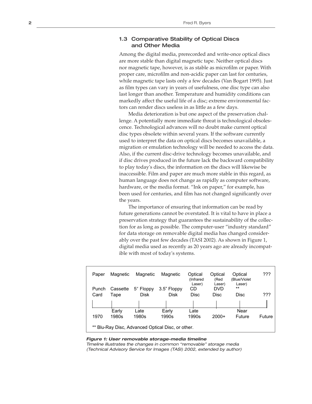#### 1.3 Comparative Stability of Optical Discs and Other Media

Among the digital media, prerecorded and write-once optical discs are more stable than digital magnetic tape. Neither optical discs nor magnetic tape, however, is as stable as microfilm or paper. With proper care, microfilm and non-acidic paper can last for centuries, while magnetic tape lasts only a few decades (Van Bogart 1995). Just as film types can vary in years of usefulness, one disc type can also last longer than another. Temperature and humidity conditions can markedly affect the useful life of a disc; extreme environmental factors can render discs useless in as little as a few days.

Media deterioration is but one aspect of the preservation challenge. A potentially more immediate threat is technological obsolescence. Technological advances will no doubt make current optical disc types obsolete within several years. If the software currently used to interpret the data on optical discs becomes unavailable, a migration or emulation technology will be needed to access the data. Also, if the current disc-drive technology becomes unavailable, and if disc drives produced in the future lack the backward compatibility to play today's discs, the information on the discs will likewise be inaccessible. Film and paper are much more stable in this regard, as human language does not change as rapidly as computer software, hardware, or the media format. "Ink on paper," for example, has been used for centuries, and film has not changed significantly over the years.

The importance of ensuring that information can be read by future generations cannot be overstated. It is vital to have in place a preservation strategy that guarantees the sustainability of the collection for as long as possible. The computer-user "industry standard" for data storage on removable digital media has changed considerably over the past few decades (TASI 2002). As shown in Figure 1, digital media used as recently as 20 years ago are already incompatible with most of today's systems.

| Paper                                          | Magnetic | Magnetic  | Magnetic    | Optical<br>(Infrared<br>Laser) | Optical<br>(Red<br>Laser) | Optical<br>(Blue/Violet<br>Laser) | ???    |
|------------------------------------------------|----------|-----------|-------------|--------------------------------|---------------------------|-----------------------------------|--------|
| Punch                                          | Cassette | 5" Floppy | 3.5" Floppy | CD                             | <b>DVD</b>                | $***$                             |        |
| Card                                           | Tape     | Disk      | <b>Disk</b> | <b>Disc</b>                    | <b>Disc</b>               | Disc                              | ???    |
|                                                |          |           |             |                                |                           |                                   |        |
|                                                | Early    | Late      | Early       | Late                           |                           | Near                              |        |
| 1970                                           | 1980s    | 1980s     | 1990s       | 1990s                          | $2000+$                   | Future                            | Future |
| Blu-Ray Disc, Advanced Optical Disc, or other. |          |           |             |                                |                           |                                   |        |

#### **Figure 1: User removable storage-media timeline**

Timeline illustrates the changes in common "removable" storage media (Technical Advisory Service for Images (TASI) 2002, extended by author)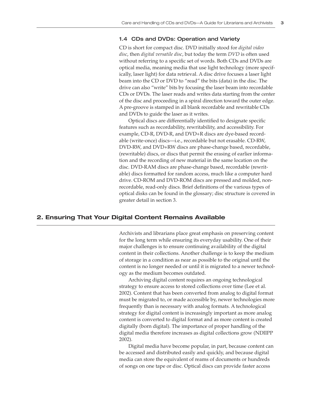#### 1.4 CDs and DVDs: Operation and Variety

CD is short for compact disc. DVD initially stood for *digital video disc*, then *digital versatile disc*, but today the term *DVD* is often used without referring to a specific set of words. Both CDs and DVDs are optical media, meaning media that use light technology (more specifically, laser light) for data retrieval. A disc drive focuses a laser light beam into the CD or DVD to "read" the bits (data) in the disc. The drive can also "write" bits by focusing the laser beam into recordable CDs or DVDs. The laser reads and writes data starting from the center of the disc and proceeding in a spiral direction toward the outer edge. A pre-groove is stamped in all blank recordable and rewritable CDs and DVDs to guide the laser as it writes.

Optical discs are differentially identified to designate specific features such as recordability, rewritability, and accessibility. For example, CD-R, DVD-R, and DVD+R discs are dye-based recordable (write-once) discs—i.e., recordable but not erasable. CD-RW, DVD-RW, and DVD+RW discs are phase-change based, recordable, (rewritable) discs, or discs that permit the erasing of earlier information and the recording of new material in the same location on the disc. DVD-RAM discs are phase-change based, recordable (rewritable) discs formatted for random access, much like a computer hard drive. CD-ROM and DVD-ROM discs are pressed and molded, nonrecordable, read-only discs. Brief definitions of the various types of optical disks can be found in the glossary; disc structure is covered in greater detail in section 3.

#### **2. Ensuring That Your Digital Content Remains Available**

Archivists and librarians place great emphasis on preserving content for the long term while ensuring its everyday usability. One of their major challenges is to ensure continuing availability of the digital content in their collections. Another challenge is to keep the medium of storage in a condition as near as possible to the original until the content is no longer needed or until it is migrated to a newer technology as the medium becomes outdated.

Archiving digital content requires an ongoing technological strategy to ensure access to stored collections over time (Lee et al. 2002). Content that has been converted from analog to digital format must be migrated to, or made accessible by, newer technologies more frequently than is necessary with analog formats. A technological strategy for digital content is increasingly important as more analog content is converted to digital format and as more content is created digitally (born digital). The importance of proper handling of the digital media therefore increases as digital collections grow (NDIIPP 2002).

Digital media have become popular, in part, because content can be accessed and distributed easily and quickly, and because digital media can store the equivalent of reams of documents or hundreds of songs on one tape or disc. Optical discs can provide faster access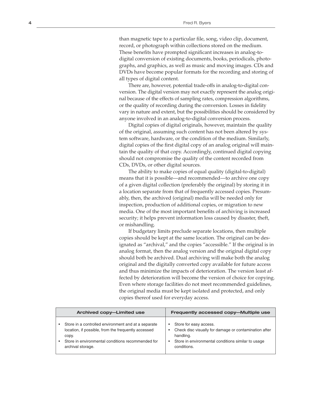than magnetic tape to a particular file, song, video clip, document, record, or photograph within collections stored on the medium. These benefits have prompted significant increases in analog-todigital conversion of existing documents, books, periodicals, photographs, and graphics, as well as music and moving images. CDs and DVDs have become popular formats for the recording and storing of all types of digital content.

There are, however, potential trade-offs in analog-to-digital conversion. The digital version may not exactly represent the analog original because of the effects of sampling rates, compression algorithms, or the quality of recording during the conversion. Losses in fidelity vary in nature and extent, but the possibilities should be considered by anyone involved in an analog-to-digital conversion process.

Digital copies of digital originals, however, maintain the quality of the original, assuming such content has not been altered by system software, hardware, or the condition of the medium. Similarly, digital copies of the first digital copy of an analog original will maintain the quality of that copy. Accordingly, continued digital copying should not compromise the quality of the content recorded from CDs, DVDs, or other digital sources.

The ability to make copies of equal quality (digital-to-digital) means that it is possible—and recommended—to archive one copy of a given digital collection (preferably the original) by storing it in a location separate from that of frequently accessed copies. Presumably, then, the archived (original) media will be needed only for inspection, production of additional copies, or migration to new media. One of the most important benefits of archiving is increased security; it helps prevent information loss caused by disaster, theft, or mishandling.

If budgetary limits preclude separate locations, then multiple copies should be kept at the same location. The original can be designated as "archival," and the copies "accessible." If the original is in analog format, then the analog version and the original digital copy should both be archived. Dual archiving will make both the analog original and the digitally converted copy available for future access and thus minimize the impacts of deterioration. The version least affected by deterioration will become the version of choice for copying. Even where storage facilities do not meet recommended guidelines, the original media must be kept isolated and protected, and only copies thereof used for everyday access.

| Archived copy-Limited use                                                                                                                                                                          | Frequently accessed copy-Multiple use                                                                                                                                       |
|----------------------------------------------------------------------------------------------------------------------------------------------------------------------------------------------------|-----------------------------------------------------------------------------------------------------------------------------------------------------------------------------|
| Store in a controlled environment and at a separate<br>٠<br>location, if possible, from the frequently accessed<br>copy.<br>Store in environmental conditions recommended for<br>archival storage. | Store for easy access.<br>٠<br>Check disc visually for damage or contamination after<br>handling.<br>Store in environmental conditions similar to usage<br>٠<br>conditions. |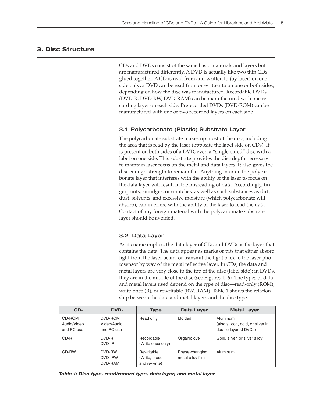#### **3. Disc Structure**

CDs and DVDs consist of the same basic materials and layers but are manufactured differently. A DVD is actually like two thin CDs glued together. A CD is read from and written to (by laser) on one side only; a DVD can be read from or written to on one or both sides, depending on how the disc was manufactured. Recordable DVDs (DVD-R, DVD-RW, DVD-RAM) can be manufactured with one recording layer on each side. Prerecorded DVDs (DVD-ROM) can be manufactured with one or two recorded layers on each side.

#### 3.1 Polycarbonate (Plastic) Substrate Layer

The polycarbonate substrate makes up most of the disc, including the area that is read by the laser (opposite the label side on CDs). It is present on both sides of a DVD, even a "single-sided" disc with a label on one side. This substrate provides the disc depth necessary to maintain laser focus on the metal and data layers. It also gives the disc enough strength to remain flat. Anything in or on the polycarbonate layer that interferes with the ability of the laser to focus on the data layer will result in the misreading of data. Accordingly, fingerprints, smudges, or scratches, as well as such substances as dirt, dust, solvents, and excessive moisture (which polycarbonate will absorb), can interfere with the ability of the laser to read the data. Contact of any foreign material with the polycarbonate substrate layer should be avoided.

#### 3.2 Data Layer

As its name implies, the data layer of CDs and DVDs is the layer that contains the data. The data appear as marks or pits that either absorb light from the laser beam, or transmit the light back to the laser photosensor by way of the metal reflective layer. In CDs, the data and metal layers are very close to the top of the disc (label side); in DVDs, they are in the middle of the disc (see Figures 1–6). The types of data and metal layers used depend on the type of disc—read-only (ROM), write-once (R), or rewritable (RW, RAM). Table 1 shows the relationship between the data and metal layers and the disc type.

| CD-                                 | DVD-                                 | <b>Type</b>                                   | Data Layer                         | <b>Metal Layer</b>                                                    |
|-------------------------------------|--------------------------------------|-----------------------------------------------|------------------------------------|-----------------------------------------------------------------------|
| CD-ROM<br>Audio/Video<br>and PC use | DVD-ROM<br>Video/Audio<br>and PC use | Read only                                     | Molded                             | Aluminum<br>(also silicon, gold, or silver in<br>double layered DVDs) |
| $CD-R$                              | DVD-R<br>$DVD + R$                   | Recordable<br>(Write once only)               | Organic dye                        | Gold, silver, or silver alloy                                         |
| CD-RW                               | DVD-RW<br>$DVD+RW$<br>DVD-RAM        | Rewritable<br>(Write, erase,<br>and re-write) | Phase-changing<br>metal alloy film | Aluminum                                                              |

**Table 1: Disc type, read/record type, data layer, and metal layer**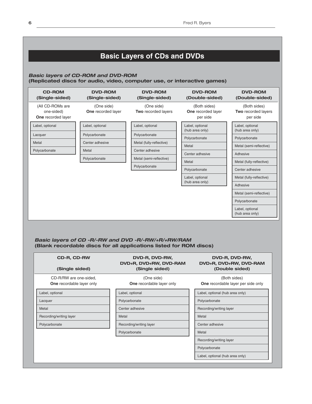## **Basic Layers of CDs and DVDs**

#### **Basic layers of CD-ROM and DVD-ROM**

**(Replicated discs for audio, video, computer use, or interactive games)**

| <b>CD-ROM</b><br>(Single-sided)                      | <b>DVD-ROM</b><br>(Single-sided)                                              | <b>DVD-ROM</b><br>(Single-sided)                                                                                            | <b>DVD-ROM</b><br>(Double-sided)                                                                                                                | <b>DVD-ROM</b><br>(Double-sided)                                                                                                                                                                                                                                    |
|------------------------------------------------------|-------------------------------------------------------------------------------|-----------------------------------------------------------------------------------------------------------------------------|-------------------------------------------------------------------------------------------------------------------------------------------------|---------------------------------------------------------------------------------------------------------------------------------------------------------------------------------------------------------------------------------------------------------------------|
| (All CD-ROMs are<br>one-sided)<br>One recorded layer | (One side)<br>One recorded layer                                              | (One side)<br>Two recorded layers                                                                                           | (Both sides)<br>One recorded layer<br>per side                                                                                                  | (Both sides)<br>Two recorded layers<br>per side                                                                                                                                                                                                                     |
| Label, optional<br>Lacquer<br>Metal<br>Polycarbonate | Label, optional<br>Polycarbonate<br>Center adhesive<br>Metal<br>Polycarbonate | Label, optional<br>Polycarbonate<br>Metal (fully-reflective)<br>Center adhesive<br>Metal (semi-reflective)<br>Polycarbonate | Label, optional<br>(hub area only)<br>Polycarbonate<br>Metal<br>Center adhesive<br>Metal<br>Polycarbonate<br>Label, optional<br>(hub area only) | Label, optional<br>(hub area only)<br>Polycarbonate<br>Metal (semi-reflective)<br>Adhesive<br>Metal (fully-reflective)<br>Center adhesive<br>Metal (fully-reflective)<br>Adhesive<br>Metal (semi-reflective)<br>Polycarbonate<br>Label, optional<br>(hub area only) |

#### **Basic layers of CD -R/-RW and DVD -R/-RW/+R/+RW/RAM (Blank recordable discs for all applications listed for ROM discs)**

| <b>CD-R, CD-RW</b>                                  | DVD-R, DVD-RW,<br>DVD+R, DVD+RW, DVD-RAM | DVD-R, DVD-RW,<br>DVD+R, DVD+RW, DVD-RAM           |
|-----------------------------------------------------|------------------------------------------|----------------------------------------------------|
| (Single sided)                                      | (Single sided)                           | (Double sided)                                     |
| CD-R/RW are one-sided,<br>One recordable layer only | (One side)<br>One recordable layer only  | (Both sides)<br>One recordable layer per side only |
| Label, optional                                     | Label, optional                          | Label, optional (hub area only)                    |
| Lacquer                                             | Polycarbonate                            | Polycarbonate                                      |
| Metal                                               | Center adhesive                          | Recording/writing layer                            |
| Recording/writing layer                             | Metal                                    | Metal                                              |
| Polycarbonate                                       | Recording/writing layer                  | Center adhesive                                    |
|                                                     | Polycarbonate                            | Metal                                              |
|                                                     |                                          | Recording/writing layer                            |
|                                                     |                                          | Polycarbonate                                      |
|                                                     |                                          | Label, optional (hub area only)                    |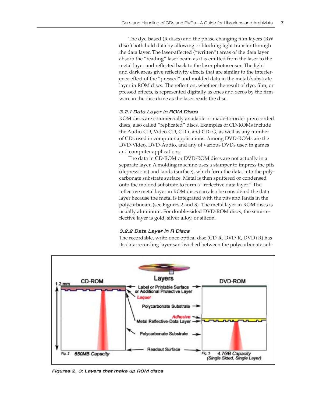The dye-based (R discs) and the phase-changing film layers (RW discs) both hold data by allowing or blocking light transfer through the data layer. The laser-affected ("written") areas of the data layer absorb the "reading" laser beam as it is emitted from the laser to the metal layer and reflected back to the laser photosensor. The light and dark areas give reflectivity effects that are similar to the interference effect of the "pressed" and molded data in the metal/substrate layer in ROM discs. The reflection, whether the result of dye, film, or pressed effects, is represented digitally as ones and zeros by the firmware in the disc drive as the laser reads the disc.

#### 3.2.1 Data Layer in ROM Discs

ROM discs are commercially available or made-to-order prerecorded discs, also called "replicated" discs. Examples of CD-ROMs include the Audio-CD, Video-CD, CD-i, and CD+G, as well as any number of CDs used in computer applications. Among DVD-ROMs are the DVD-Video, DVD-Audio, and any of various DVDs used in games and computer applications.

The data in CD-ROM or DVD-ROM discs are not actually in a separate layer. A molding machine uses a stamper to impress the pits (depressions) and lands (surface), which form the data, into the polycarbonate substrate surface. Metal is then sputtered or condensed onto the molded substrate to form a "reflective data layer." The reflective metal layer in ROM discs can also be considered the data layer because the metal is integrated with the pits and lands in the polycarbonate (see Figures 2 and 3). The metal layer in ROM discs is usually aluminum. For double-sided DVD-ROM discs, the semi-reflective layer is gold, silver alloy, or silicon.

#### 3.2.2 Data Layer in R Discs

The recordable, write-once optical disc (CD-R, DVD-R, DVD+R) has its data-recording layer sandwiched between the polycarbonate sub-



**Figures 2, 3: Layers that make up ROM discs**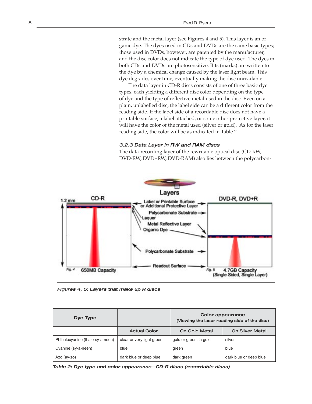strate and the metal layer (see Figures 4 and 5). This layer is an organic dye. The dyes used in CDs and DVDs are the same basic types; those used in DVDs, however, are patented by the manufacturer, and the disc color does not indicate the type of dye used. The dyes in both CDs and DVDs are photosensitive. Bits (marks) are written to the dye by a chemical change caused by the laser light beam. This dye degrades over time, eventually making the disc unreadable.

 The data layer in CD-R discs consists of one of three basic dye types, each yielding a different disc color depending on the type of dye and the type of reflective metal used in the disc. Even on a plain, unlabelled disc, the label side can be a different color from the reading side. If the label side of a recordable disc does not have a printable surface, a label attached, or some other protective layer, it will have the color of the metal used (silver or gold). As for the laser reading side, the color will be as indicated in Table 2.

#### 3.2.3 Data Layer in RW and RAM discs

The data-recording layer of the rewritable optical disc (CD-RW, DVD-RW, DVD+RW, DVD-RAM) also lies between the polycarbon-



**Figures 4, 5: Layers that make up R discs**

| Dye Type                         |                           | <b>Color appearance</b><br>(Viewing the laser reading side of the disc) | <b>On Silver Metal</b><br>silver |  |
|----------------------------------|---------------------------|-------------------------------------------------------------------------|----------------------------------|--|
|                                  | <b>Actual Color</b>       | <b>On Gold Metal</b>                                                    |                                  |  |
| Phthalocyanine (thalo-sy-a-neen) | clear or very light green | gold or greenish gold                                                   |                                  |  |
| Cyanine (sy-a-neen)              | blue                      | green                                                                   | blue                             |  |
| Azo (ay-zo)                      | dark blue or deep blue    | dark green                                                              | dark blue or deep blue           |  |

**Table 2: Dye type and color appearance—CD-R discs (recordable discs)**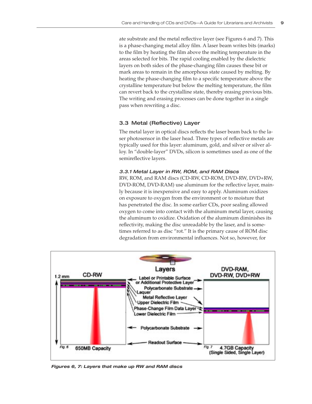ate substrate and the metal reflective layer (see Figures 6 and 7). This is a phase-changing metal alloy film. A laser beam writes bits (marks) to the film by heating the film above the melting temperature in the areas selected for bits. The rapid cooling enabled by the dielectric layers on both sides of the phase-changing film causes these bit or mark areas to remain in the amorphous state caused by melting. By heating the phase-changing film to a specific temperature above the crystalline temperature but below the melting temperature, the film can revert back to the crystalline state, thereby erasing previous bits. The writing and erasing processes can be done together in a single pass when rewriting a disc.

#### 3.3 Metal (Reflective) Layer

The metal layer in optical discs reflects the laser beam back to the laser photosensor in the laser head. Three types of reflective metals are typically used for this layer: aluminum, gold, and silver or silver alloy. In "double-layer" DVDs, silicon is sometimes used as one of the semireflective layers.

#### 3.3.1 Metal Layer in RW, ROM, and RAM Discs

RW, ROM, and RAM discs (CD-RW, CD-ROM, DVD-RW, DVD+RW, DVD-ROM, DVD-RAM) use aluminum for the reflective layer, mainly because it is inexpensive and easy to apply. Aluminum oxidizes on exposure to oxygen from the environment or to moisture that has penetrated the disc. In some earlier CDs, poor sealing allowed oxygen to come into contact with the aluminum metal layer, causing the aluminum to oxidize. Oxidation of the aluminum diminishes its reflectivity, making the disc unreadable by the laser, and is sometimes referred to as disc "rot." It is the primary cause of ROM disc degradation from environmental influences. Not so, however, for



**Figures 6, 7: Layers that make up RW and RAM discs**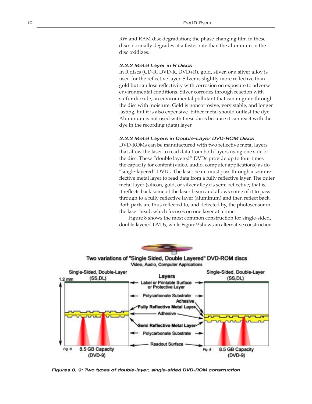RW and RAM disc degradation; the phase-changing film in these discs normally degrades at a faster rate than the aluminum in the disc oxidizes.

#### 3.3.2 Metal Layer in R Discs

In R discs (CD-R, DVD-R, DVD+R), gold, silver, or a silver alloy is used for the reflective layer. Silver is slightly more reflective than gold but can lose reflectivity with corrosion on exposure to adverse environmental conditions. Silver corrodes through reaction with sulfur dioxide, an environmental pollutant that can migrate through the disc with moisture. Gold is noncorrosive, very stable, and longer lasting, but it is also expensive. Either metal should outlast the dye. Aluminum is not used with these discs because it can react with the dye in the recording (data) layer.

#### 3.3.3 Metal Layers in Double-Layer DVD-ROM Discs

DVD-ROMs can be manufactured with two reflective metal layers that allow the laser to read data from both layers using one side of the disc. These "double layered" DVDs provide up to four times the capacity for content (video, audio, computer applications) as do "single-layered" DVDs. The laser beam must pass through a semi-reflective metal layer to read data from a fully reflective layer. The outer metal layer (silicon, gold, or silver alloy) is semi-reflective; that is, it reflects back some of the laser beam and allows some of it to pass through to a fully reflective layer (aluminum) and then reflect back. Both parts are thus reflected to, and detected by, the photosensor in the laser head, which focuses on one layer at a time.

Figure 8 shows the most common construction for single-sided, double-layered DVDs, while Figure 9 shows an alternative construction.



**Figures 8, 9: Two types of double-layer, single-sided DVD-ROM construction**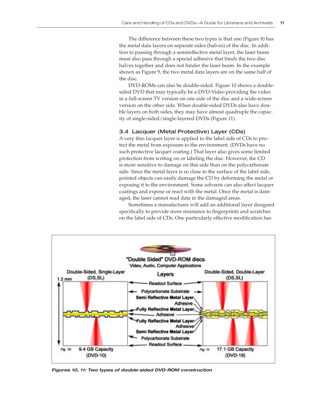The difference between these two types is that one (Figure 8) has the metal data layers on separate sides (halves) of the disc. In addition to passing through a semireflective metal layer, the laser beam must also pass through a special adhesive that binds the two disc halves together and does not hinder the laser beam. In the example shown as Figure 9, the two metal data layers are on the same half of the disc.

 DVD-ROMs can also be double-sided. Figure 10 shows a doublesided DVD that may typically be a DVD-Video providing the video in a full-screen TV version on one side of the disc and a wide-screen version on the other side. When double-sided DVDs also have double layers on both sides, they may have almost quadruple the capacity of single-sided/single-layered DVDs (Figure 11).

#### 3.4 Lacquer (Metal Protective) Layer (CDs)

A very thin lacquer layer is applied to the label side of CDs to protect the metal from exposure to the environment. (DVDs have no such protective lacquer coating.) That layer also gives some limited protection from writing on or labeling the disc. However, the CD is more sensitive to damage on this side than on the polycarbonate side. Since the metal layer is so close to the surface of the label side, pointed objects can easily damage the CD by deforming the metal or exposing it to the environment. Some solvents can also affect lacquer coatings and expose or react with the metal. Once the metal is damaged, the laser cannot read data in the damaged areas.

Sometimes a manufacturer will add an additional layer designed specifically to provide more resistance to fingerprints and scratches on the label side of CDs. One particularly effective modification has



**Figures 10, 11: Two types of double-sided DVD-ROM construction**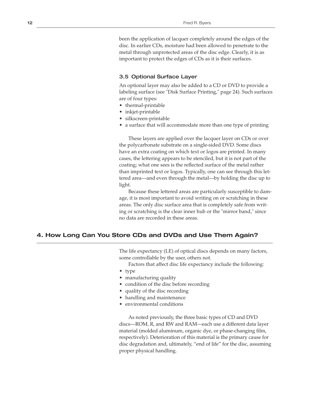been the application of lacquer completely around the edges of the disc. In earlier CDs, moisture had been allowed to penetrate to the metal through unprotected areas of the disc edge. Clearly, it is as important to protect the edges of CDs as it is their surfaces.

#### 3.5 Optional Surface Layer

An optional layer may also be added to a CD or DVD to provide a labeling surface (see "Disk Surface Printing," page 24). Such surfaces are of four types:

- thermal-printable
- inkjet-printable
- silkscreen-printable
- a surface that will accommodate more than one type of printing

These layers are applied over the lacquer layer on CDs or over the polycarbonate substrate on a single-sided DVD. Some discs have an extra coating on which text or logos are printed. In many cases, the lettering appears to be stenciled, but it is not part of the coating; what one sees is the reflected surface of the metal rather than imprinted text or logos. Typically, one can see through this lettered area—and even through the metal—by holding the disc up to light.

Because these lettered areas are particularly susceptible to damage, it is most important to avoid writing on or scratching in these areas. The only disc surface area that is completely safe from writing or scratching is the clear inner hub or the "mirror band," since no data are recorded in these areas.

#### **4. How Long Can You Store CDs and DVDs and Use Them Again?**

The life expectancy (LE) of optical discs depends on many factors, some controllable by the user, others not.

Factors that affect disc life expectancy include the following:

- type
- manufacturing quality
- condition of the disc before recording
- quality of the disc recording
- handling and maintenance
- environmental conditions

As noted previously, the three basic types of CD and DVD discs—ROM, R, and RW and RAM—each use a different data layer material (molded aluminum, organic dye, or phase-changing film, respectively). Deterioration of this material is the primary cause for disc degradation and, ultimately, "end of life" for the disc, assuming proper physical handling.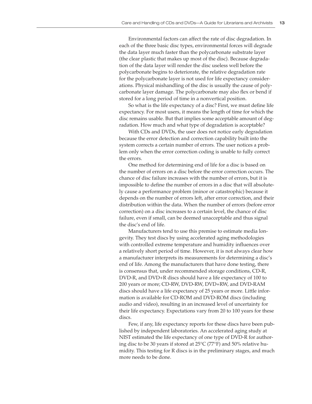Environmental factors can affect the rate of disc degradation. In each of the three basic disc types, environmental forces will degrade the data layer much faster than the polycarbonate substrate layer (the clear plastic that makes up most of the disc). Because degradation of the data layer will render the disc useless well before the polycarbonate begins to deteriorate, the relative degradation rate for the polycarbonate layer is not used for life expectancy considerations. Physical mishandling of the disc is usually the cause of polycarbonate layer damage. The polycarbonate may also flex or bend if stored for a long period of time in a nonvertical position.

So what is the life expectancy of a disc? First, we must define life expectancy. For most users, it means the length of time for which the disc remains usable. But that implies some acceptable amount of degradation. How much and what type of degradation is acceptable?

With CDs and DVDs, the user does not notice early degradation because the error detection and correction capability built into the system corrects a certain number of errors. The user notices a problem only when the error correction coding is unable to fully correct the errors.

One method for determining end of life for a disc is based on the number of errors on a disc before the error correction occurs. The chance of disc failure increases with the number of errors, but it is impossible to define the number of errors in a disc that will absolutely cause a performance problem (minor or catastrophic) because it depends on the number of errors left, after error correction, and their distribution within the data. When the number of errors (before error correction) on a disc increases to a certain level, the chance of disc failure, even if small, can be deemed unacceptable and thus signal the disc's end of life.

Manufacturers tend to use this premise to estimate media longevity. They test discs by using accelerated aging methodologies with controlled extreme temperature and humidity influences over a relatively short period of time. However, it is not always clear how a manufacturer interprets its measurements for determining a disc's end of life. Among the manufacturers that have done testing, there is consensus that, under recommended storage conditions, CD-R, DVD-R, and DVD+R discs should have a life expectancy of 100 to 200 years or more; CD-RW, DVD-RW, DVD+RW, and DVD-RAM discs should have a life expectancy of 25 years or more. Little information is available for CD-ROM and DVD-ROM discs (including audio and video), resulting in an increased level of uncertainty for their life expectancy. Expectations vary from 20 to 100 years for these discs.

Few, if any, life expectancy reports for these discs have been published by independent laboratories. An accelerated aging study at NIST estimated the life expectancy of one type of DVD-R for authoring disc to be 30 years if stored at 25°C (77°F) and 50% relative humidity. This testing for R discs is in the preliminary stages, and much more needs to be done.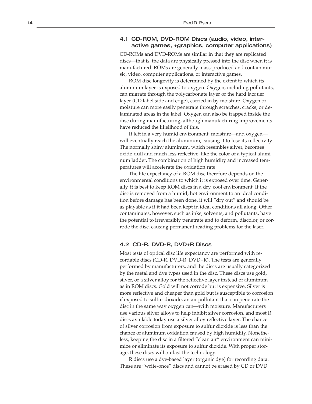#### 4.1 CD-ROM, DVD-ROM Discs (audio, video, interactive games, +graphics, computer applications)

CD-ROMs and DVD-ROMs are similar in that they are replicated discs—that is, the data are physically pressed into the disc when it is manufactured. ROMs are generally mass-produced and contain mu sic, video, computer applications, or interactive games.

ROM disc longevity is determined by the extent to which its aluminum layer is exposed to oxygen. Oxygen, including pollutants, can migrate through the polycarbonate layer or the hard lacquer layer (CD label side and edge), carried in by moisture. Oxygen or moisture can more easily penetrate through scratches, cracks, or de laminated areas in the label. Oxygen can also be trapped inside the disc during manufacturing, although manufacturing improvements have reduced the likelihood of this.

If left in a very humid environment, moisture—and oxygen will eventually reach the aluminum, causing it to lose its reflectivity. The normally shiny aluminum, which resembles silver, becomes oxide-dull and much less reflective, like the color of a typical alumi num ladder. The combination of high humidity and increased tem peratures will accelerate the oxidation rate.

The life expectancy of a ROM disc therefore depends on the environmental conditions to which it is exposed over time. Gener ally, it is best to keep ROM discs in a dry, cool environment. If the disc is removed from a humid, hot environment to an ideal condi tion before damage has been done, it will "dry out" and should be as playable as if it had been kept in ideal conditions all along. Other contaminates, however, such as inks, solvents, and pollutants, have the potential to irreversibly penetrate and to deform, discolor, or cor rode the disc, causing permanent reading problems for the laser.

#### 4.2 CD-R, DVD-R, DVD+R Discs

Most tests of optical disc life expectancy are performed with re cordable discs (CD-R, DVD-R, DVD+R). The tests are generally performed by manufacturers, and the discs are usually categorized by the metal and dye types used in the disc. These discs use gold, silver, or a silver alloy for the reflective layer instead of aluminum as in ROM discs. Gold will not corrode but is expensive. Silver is more reflective and cheaper than gold but is susceptible to corrosion if exposed to sulfur dioxide, an air pollutant that can penetrate the disc in the same way oxygen can—with moisture. Manufacturers use various silver alloys to help inhibit silver corrosion, and most R discs available today use a silver alloy reflective layer. The chance of silver corrosion from exposure to sulfur dioxide is less than the chance of aluminum oxidation caused by high humidity. Nonethe less, keeping the disc in a filtered "clean air" environment can mini mize or eliminate its exposure to sulfur dioxide. With proper stor age, these discs will outlast the technology.

R discs use a dye-based layer (organic dye) for recording data. These are "write-once" discs and cannot be erased by CD or DVD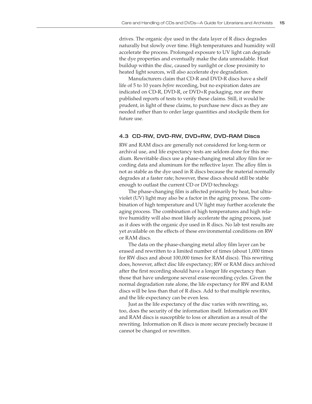drives. The organic dye used in the data layer of R discs degrades naturally but slowly over time. High temperatures and humidity will accelerate the process. Prolonged exposure to UV light can degrade the dye properties and eventually make the data unreadable. Heat buildup within the disc, caused by sunlight or close proximity to heated light sources, will also accelerate dye degradation.

Manufacturers claim that CD-R and DVD-R discs have a shelf life of 5 to 10 years *before* recording, but no expiration dates are indicated on CD-R, DVD-R, or DVD+R packaging, nor are there published reports of tests to verify these claims. Still, it would be prudent, in light of these claims, to purchase new discs as they are needed rather than to order large quantities and stockpile them for future use.

#### 4.3 CD-RW, DVD-RW, DVD+RW, DVD-RAM Discs

RW and RAM discs are generally not considered for long-term or archival use, and life expectancy tests are seldom done for this medium. Rewritable discs use a phase-changing metal alloy film for recording data and aluminum for the reflective layer. The alloy film is not as stable as the dye used in R discs because the material normally degrades at a faster rate; however, these discs should still be stable enough to outlast the current CD or DVD technology.

The phase-changing film is affected primarily by heat, but ultraviolet (UV) light may also be a factor in the aging process. The combination of high temperature and UV light may further accelerate the aging process. The combination of high temperatures and high relative humidity will also most likely accelerate the aging process, just as it does with the organic dye used in R discs. No lab test results are yet available on the effects of these environmental conditions on RW or RAM discs.

The data on the phase-changing metal alloy film layer can be erased and rewritten to a limited number of times (about 1,000 times for RW discs and about 100,000 times for RAM discs). This rewriting does, however, affect disc life expectancy; RW or RAM discs archived after the first recording should have a longer life expectancy than those that have undergone several erase-recording cycles. Given the normal degradation rate alone, the life expectancy for RW and RAM discs will be less than that of R discs. Add to that multiple rewrites, and the life expectancy can be even less.

Just as the life expectancy of the disc varies with rewriting, so, too, does the security of the information itself. Information on RW and RAM discs is susceptible to loss or alteration as a result of the rewriting. Information on R discs is more secure precisely because it cannot be changed or rewritten.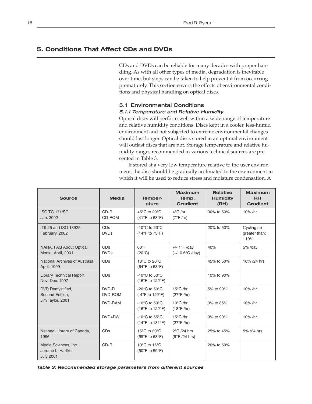#### **5. Conditions That Affect CDs and DVDs**

CDs and DVDs can be reliable for many decades with proper handling. As with all other types of media, degradation is inevitable over time, but steps can be taken to help prevent it from occurring prematurely. This section covers the effects of environmental conditions and physical handling on optical discs.

#### 5.1 Environmental Conditions

#### 5.1.1 Temperature and Relative Humidity

Optical discs will perform well within a wide range of temperature and relative humidity conditions. Discs kept in a cooler, less-humid environment and not subjected to extreme environmental changes should last longer. Optical discs stored in an optimal environment will outlast discs that are not. Storage temperature and relative humidity ranges recommended in various technical sources are presented in Table 3.

If stored at a very low temperature relative to the user environment, the disc should be gradually acclimated to the environment in which it will be used to reduce stress and moisture condensation. A

| <b>Source</b>                                                | <b>Media</b>       | Temper-<br>ature                                                                | <b>Maximum</b><br>Temp.<br><b>Gradient</b>     | <b>Relative</b><br><b>Humidity</b><br>(HH) | <b>Maximum</b><br><b>RH</b><br><b>Gradient</b> |
|--------------------------------------------------------------|--------------------|---------------------------------------------------------------------------------|------------------------------------------------|--------------------------------------------|------------------------------------------------|
| <b>ISO TC 171/SC</b><br>Jan. 2002                            | $CD-R$<br>CD-ROM   | +5 $\rm{^{\circ}C}$ to 20 $\rm{^{\circ}C}$<br>$(41^{\circ}F$ to 68 $^{\circ}F)$ | $4^{\circ}$ C /hr<br>$(7^{\circ}F/hr)$         | 30% to 50%                                 | $10\%$ /hr                                     |
| IT9.25 and ISO 18925<br>February, 2002                       | CDs<br><b>DVDs</b> | -10 $^{\circ}$ C to 23 $^{\circ}$ C<br>$(14^{\circ}F$ to $73^{\circ}F)$         |                                                | 20% to 50%                                 | Cycling no<br>greater than:<br>±10%            |
| NARA, FAQ About Optical<br>Media, April, 2001                | CDs<br><b>DVDs</b> | $68^{\circ}$ F<br>$(20^{\circ}C)$                                               | $+/- 1$ °F /day<br>$(+/- 0.6°C$ /day)          | 40%                                        | 5% /day                                        |
| National Archives of Australia.<br>April, 1999               | CDs                | 18°C to 20°C<br>$(64^{\circ}F$ to $68^{\circ}F)$                                |                                                | 45% to 50%                                 | 10% /24 hrs                                    |
| <b>Library Technical Report</b><br>Nov.-Dec. 1997            | CDs                | -10 $^{\circ}$ C to 50 $^{\circ}$ C<br>(16°F to 122°F)                          |                                                | 10% to 90%                                 |                                                |
| DVD Demystified,<br>Second Edition,                          | DVD-R<br>DVD-ROM   | -20 $^{\circ}$ C to 50 $^{\circ}$ C<br>$(-4^\circ)$ F to 122 $\circ$ F)         | $15^{\circ}$ C /hr<br>$(27^{\circ}F/hr)$       | 5% to 90%                                  | 10% /hr                                        |
| Jim Taylor, 2001                                             | DVD-RAM            | -10 $^{\circ}$ C to 50 $^{\circ}$ C<br>$(16^{\circ}F$ to $122^{\circ}F)$        | $10^{\circ}$ C /hr<br>$(18^{\circ}F/hr)$       | 3% to 85%                                  | 10% /hr                                        |
|                                                              | $DVD + RW$         | -10 $^{\circ}$ C to 55 $^{\circ}$ C<br>$(14^{\circ}F$ to $131^{\circ}F)$        | $15^{\circ}$ C /hr<br>$(27^{\circ}F/hr)$       | 3% to 90%                                  | $10\%$ /hr                                     |
| National Library of Canada,<br>1996                          | CDs                | 15 $\rm{^{\circ}C}$ to 20 $\rm{^{\circ}C}$<br>$(59^{\circ}F$ to $68^{\circ}F)$  | $2^{\circ}$ C /24 hrs<br>$(9^{\circ}F/24$ hrs) | 25% to 45%                                 | 5% /24 hrs                                     |
| Media Sciences, Inc.<br>Jerome L. Hartke<br><b>July 2001</b> | $CD-R$             | 10 $\rm{^{\circ}C}$ to 15 $\rm{^{\circ}C}$<br>(50°F to 59°F)                    |                                                | 20% to 50%                                 |                                                |

| Table 3: Recommended storage parameters from different sources |  |  |
|----------------------------------------------------------------|--|--|
|----------------------------------------------------------------|--|--|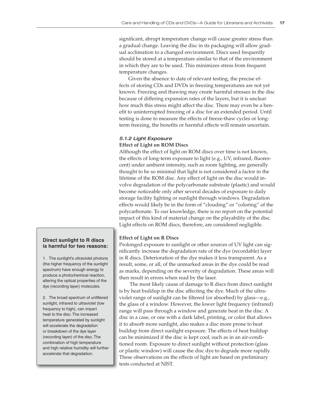significant, abrupt temperature change will cause greater stress than a gradual change. Leaving the disc in its packaging will allow gradual acclimation to a changed environment. Discs used frequently should be stored at a temperature similar to that of the environment in which they are to be used. This minimizes stress from frequent temperature changes.

Given the absence to date of relevant testing, the precise effects of storing CDs and DVDs in freezing temperatures are not yet known. Freezing and thawing may create harmful stresses in the disc because of differing expansion rates of the layers, but it is unclear how much this stress might affect the disc. There may even be a benefit to uninterrupted freezing of a disc for an extended period. Until testing is done to measure the effects of freeze-thaw cycles or longterm freezing, the benefits or harmful effects will remain uncertain.

#### 5.1.2 Light Exposure

#### **Effect of Light on ROM Discs**

Although the effect of light on ROM discs over time is not known, the effects of long-term exposure to light (e.g., UV, infrared, fluorescent) under ambient intensity, such as room lighting, are generally thought to be so minimal that light is not considered a factor in the lifetime of the ROM disc. Any effect of light on the disc would involve degradation of the polycarbonate substrate (plastic) and would become noticeable only after several decades of exposure to daily storage facility lighting or sunlight through windows. Degradation effects would likely be in the form of "clouding" or "coloring" of the polycarbonate. To our knowledge, there is no report on the potential impact of this kind of material change on the playability of the disc. Light effects on ROM discs, therefore, are considered negligible.

#### **Effect of Light on R Discs**

Prolonged exposure to sunlight or other sources of UV light can significantly increase the degradation rate of the dye (recordable) layer in R discs. Deterioration of the dye makes it less transparent. As a result, some, or all, of the unmarked areas in the dye could be read as marks, depending on the severity of degradation. These areas will then result in errors when read by the laser.

 The most likely cause of damage to R discs from direct sunlight is by heat buildup in the disc affecting the dye. Much of the ultraviolet range of sunlight can be filtered (or absorbed) by glass—e.g., the glass of a window. However, the lower light frequency (infrared) range will pass through a window and generate heat in the disc. A disc in a case, or one with a dark label, printing, or color that allows it to absorb more sunlight, also makes a disc more prone to heat buildup from direct sunlight exposure. The effects of heat buildup can be minimized if the disc is kept cool, such as in an air-conditioned room. Exposure to direct sunlight without protection (glass or plastic window) will cause the disc dye to degrade more rapidly. These observations on the effects of light are based on preliminary tests conducted at NIST.

#### **Direct sunlight to R discs is harmful for two reasons:**

1. The sunlight's ultraviolet photons (the higher frequency of the sunlight spectrum) have enough energy to produce a photochemical reaction, altering the optical properties of the dye (recording layer) molecules.

2. The broad spectrum of unfiltered sunlight, infrared to ultraviolet (low frequency to high), can impart heat to the disc. The increased temperature generated by sunlight will accelerate the degradation or breakdown of the dye layer (recording layer) of the disc. The combination of high temperature and high relative humidity will further accelerate that degradation.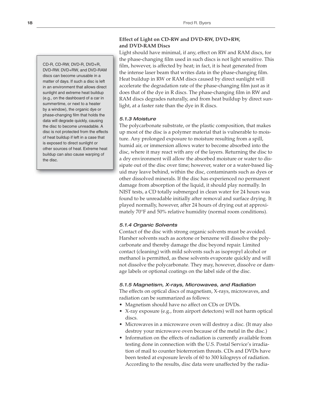#### **Effect of Light on CD-RW and DVD-RW, DVD+RW, and DVD-RAM Discs**

L Light should have minimal, if any, effect on RW and RAM discs, for the phase-changing film used in such discs is not light sensitive. This film, however, is affected by heat; in fact, it is heat generated from the intense laser beam that writes data in the phase-changing film. H Heat buildup in RW or RAM discs caused by direct sunlight will accelerate the degradation rate of the phase-changing film just as it does that of the dye in R discs. The phase-changing film in RW and R RAM discs degrades naturally, and from heat buildup by direct sunli light, at a faster rate than the dye in R discs. Light shou<br>he phase-<br>ilm, howe<br>he intense<br>Heat build<br>accelerate<br>RAM discs<br>ight, at a f

#### 5.1.3 Moisture

T The polycarbonate substrate, or the plastic composition, that makes u up most of the disc is a polymer material that is vulnerable to moist ture. Any prolonged exposure to moisture resulting from a spill, h humid air, or immersion allows water to become absorbed into the d disc, where it may react with any of the layers. Returning the disc to a dry environment will allow the absorbed moisture or water to dissi sipate out of the disc over time; however, water or a water-based liqu uid may leave behind, within the disc, contaminants such as dyes or other dissolved minerals. If the disc has experienced no permanent The polycarbonate substrate, or the plastic composition, that makes<br>up most of the disc is a polymer material that is vulnerable to mois-<br>ure. Any prolonged exposure to moisture resulting from a spill,<br>uumid air, or immers damage from absorption of the liquid, it should play normally. In NIST tests, a CD totally submerged in clean water for 24 hours was found to be unreadable initially after removal and surface drying. It played normally, however, after 24 hours of drying out at approximately 70°F and 50% relative humidity (normal room conditions).

#### 5.1.4 Organic Solvents

Contact of the disc with strong organic solvents must be avoided. Harsher solvents such as acetone or benzene will dissolve the polycarbonate and thereby damage the disc beyond repair. Limited contact (cleaning) with mild solvents such as isopropyl alcohol or methanol is permitted, as these solvents evaporate quickly and will not dissolve the polycarbonate. They may, however, dissolve or damage labels or optional coatings on the label side of the disc.

#### 5.1.5 Magnetism, X-rays, Microwaves, and Radiation

The effects on optical discs of magnetism, X-rays, microwaves, and radiation can be summarized as follows:

- Magnetism should have no affect on CDs or DVDs.
- X-ray exposure (e.g., from airport detectors) will not harm optical discs.
- Microwaves in a microwave oven will destroy a disc. (It may also destroy your microwave oven because of the metal in the disc.)
- Information on the effects of radiation is currently available from testing done in connection with the U.S. Postal Service's irradiation of mail to counter bioterrorism threats. CDs and DVDs have been tested at exposure levels of 60 to 300 kilogreys of radiation. According to the results, disc data were unaffected by the radia-

CD-R, CD-RW, DVD-R, DVD+R, DVD-RW. DVD+RW, and DVD-RAM discs can become unusable in a matter of days. If such a disc is left in an environment that allows direct sunlight and extreme heat buildup (e.g., on the dashboard of a car in summertime, or next to a heater by a window), the organic dye or phase-changing film that holds the data will degrade quickly, causing the disc to become unreadable. A disc is not protected from the effects of heat buildup if left in a case that is exposed to direct sunlight or other sources of heat. Extreme heat buildup can also cause warping of the disc.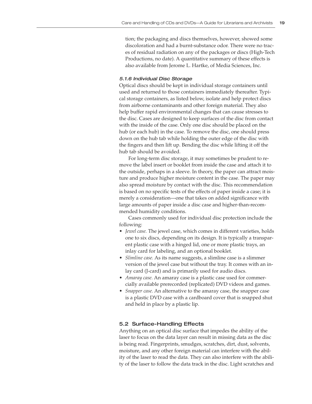tion; the packaging and discs themselves, however, showed some discoloration and had a burnt-substance odor. There were no traces of residual radiation on any of the packages or discs (High-Tech Productions, no date). A quantitative summary of these effects is also available from Jerome L. Hartke, of Media Sciences, Inc.

#### 5.1.6 Individual Disc Storage

Optical discs should be kept in individual storage containers until used and returned to those containers immediately thereafter. Typical storage containers, as listed below, isolate and help protect discs from airborne contaminants and other foreign material. They also help buffer rapid environmental changes that can cause stresses to the disc. Cases are designed to keep surfaces of the disc from contact with the inside of the case. Only one disc should be placed on the hub (or each hub) in the case. To remove the disc, one should press down on the hub tab while holding the outer edge of the disc with the fingers and then lift up. Bending the disc while lifting it off the hub tab should be avoided.

For long-term disc storage, it may sometimes be prudent to remove the label insert or booklet from inside the case and attach it to the outside, perhaps in a sleeve. In theory, the paper can attract moisture and produce higher moisture content in the case. The paper may also spread moisture by contact with the disc. This recommendation is based on no specific tests of the effects of paper inside a case; it is merely a consideration—one that takes on added significance with large amounts of paper inside a disc case and higher-than-recommended humidity conditions.

Cases commonly used for individual disc protection include the following:

- *Jewel case.* The jewel case, which comes in different varieties, holds one to six discs, depending on its design. It is typically a transparent plastic case with a hinged lid, one or more plastic trays, an inlay card for labeling, and an optional booklet.
- *Slimline case.* As its name suggests, a slimline case is a slimmer version of the jewel case but without the tray. It comes with an inlay card (J-card) and is primarily used for audio discs.
- *Amaray case.* An amaray case is a plastic case used for commercially available prerecorded (replicated) DVD videos and games.
- *Snapper case.* An alternative to the amaray case, the snapper case is a plastic DVD case with a cardboard cover that is snapped shut and held in place by a plastic lip.

#### 5.2 Surface-Handling Effects

Anything on an optical disc surface that impedes the ability of the laser to focus on the data layer can result in missing data as the disc is being read. Fingerprints, smudges, scratches, dirt, dust, solvents, moisture, and any other foreign material can interfere with the ability of the laser to read the data. They can also interfere with the ability of the laser to follow the data track in the disc. Light scratches and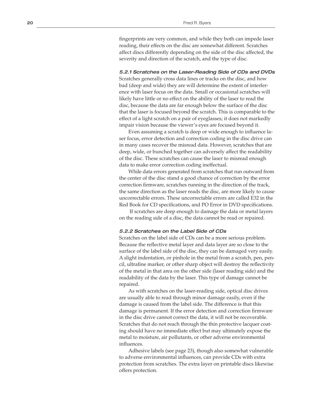fingerprints are very common, and while they both can impede laser reading, their effects on the disc are somewhat different. Scratches affect discs differently depending on the side of the disc affected, the severity and direction of the scratch, and the type of disc.

#### 5.2.1 Scratches on the Laser-Reading Side of CDs and DVDs

Scratches generally cross data lines or tracks on the disc, and how bad (deep and wide) they are will determine the extent of interfer ence with laser focus on the data. Small or occasional scratches will likely have little or no effect on the ability of the laser to read the disc, because the data are far enough below the surface of the disc that the laser is focused beyond the scratch. This is comparable to the effect of a light scratch on a pair of eyeglasses; it does not markedly impair vision because the viewer's eyes are focused beyond it.

Even assuming a scratch is deep or wide enough to influence la ser focus, error detection and correction coding in the disc drive can in many cases recover the misread data. However, scratches that are deep, wide, or bunched together can adversely affect the readability of the disc. These scratches can cause the laser to misread enough data to make error correction coding ineffectual.

While data errors generated from scratches that run outward from the center of the disc stand a good chance of correction by the error correction firmware, scratches running in the direction of the track, the same direction as the laser reads the disc, are more likely to cause uncorrectable errors. These uncorrectable errors are called E32 in the Red Book for CD specifications, and PO Error in DVD specifications.

 If scratches are deep enough to damage the data or metal layers on the reading side of a disc, the data cannot be read or repaired.

#### 5.2.2 Scratches on the Label Side of CDs

Scratches on the label side of CDs can be a more serious problem. Because the reflective metal layer and data layer are so close to the surface of the label side of the disc, they can be damaged very easily. A slight indentation, or pinhole in the metal from a scratch, pen, pen cil, ultrafine marker, or other sharp object will destroy the reflectivity of the metal in that area on the other side (laser reading side) and the readability of the data by the laser. This type of damage cannot be repaired.

As with scratches on the laser-reading side, optical disc drives are usually able to read through minor damage easily, even if the damage is caused from the label side. The difference is that this damage is permanent. If the error detection and correction firmware in the disc drive cannot correct the data, it will not be recoverable. Scratches that do not reach through the thin protective lacquer coat ing should have no immediate effect but may ultimately expose the metal to moisture, air pollutants, or other adverse environmental influences.

Adhesive labels (see page 23), though also somewhat vulnerable to adverse environmental influences, can provide CDs with extra protection from scratches. The extra layer on printable discs likewise offers protection.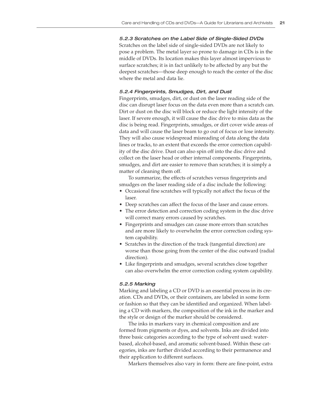#### 5.2.3 Scratches on the Label Side of Single-Sided DVDs

Scratches on the label side of single-sided DVDs are not likely to pose a problem. The metal layer so prone to damage in CDs is in the middle of DVDs. Its location makes this layer almost impervious to surface scratches; it is in fact unlikely to be affected by any but the deepest scratches—those deep enough to reach the center of the disc where the metal and data lie.

#### 5.2.4 Fingerprints, Smudges, Dirt, and Dust

Fingerprints, smudges, dirt, or dust on the laser reading side of the disc can disrupt laser focus on the data even more than a scratch can. Dirt or dust on the disc will block or reduce the light intensity of the laser. If severe enough, it will cause the disc drive to miss data as the disc is being read. Fingerprints, smudges, or dirt cover wide areas of data and will cause the laser beam to go out of focus or lose intensity. They will also cause widespread misreading of data along the data lines or tracks, to an extent that exceeds the error correction capability of the disc drive. Dust can also spin off into the disc drive and collect on the laser head or other internal components. Fingerprints, smudges, and dirt are easier to remove than scratches; it is simply a matter of cleaning them off.

To summarize, the effects of scratches versus fingerprints and smudges on the laser reading side of a disc include the following:

- Occasional fine scratches will typically not affect the focus of the laser.
- Deep scratches can affect the focus of the laser and cause errors.
- The error detection and correction coding system in the disc drive will correct many errors caused by scratches.
- Fingerprints and smudges can cause more errors than scratches and are more likely to overwhelm the error correction coding system capability.
- Scratches in the direction of the track (tangential direction) are worse than those going from the center of the disc outward (radial direction).
- Like fingerprints and smudges, several scratches close together can also overwhelm the error correction coding system capability.

#### 5.2.5 Marking

Marking and labeling a CD or DVD is an essential process in its creation. CDs and DVDs, or their containers, are labeled in some form or fashion so that they can be identified and organized. When labeling a CD with markers, the composition of the ink in the marker and the style or design of the marker should be considered.

The inks in markers vary in chemical composition and are formed from pigments or dyes, and solvents. Inks are divided into three basic categories according to the type of solvent used: waterbased, alcohol-based, and aromatic solvent-based. Within these categories, inks are further divided according to their permanence and their application to different surfaces.

Markers themselves also vary in form: there are fine-point, extra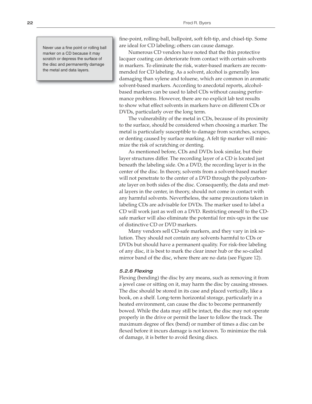Never use a fine point or rolling ball marker on a CD because it may scratch or depress the surface of the disc and permanently damage the metal and data layers.

fine-point, rolling-ball, ballpoint, soft felt-tip, and chisel-tip. Some are ideal for CD labeling; others can cause damage.

Numerous CD vendors have noted that the thin protective lacquer coating can deteriorate from contact with certain solvents in markers. To eliminate the risk, water-based markers are recommended for CD labeling. As a solvent, alcohol is generally less damaging than xylene and toluene, which are common in aromatic solvent-based markers. According to anecdotal reports, alcoholbased markers can be used to label CDs without causing performance problems. However, there are no explicit lab test results to show what effect solvents in markers have on different CDs or DVDs, particularly over the long term.

The vulnerability of the metal in CDs, because of its proximity to the surface, should be considered when choosing a marker. The metal is particularly susceptible to damage from scratches, scrapes, or denting caused by surface marking. A felt tip marker will minimize the risk of scratching or denting.

As mentioned before, CDs and DVDs look similar, but their layer structures differ. The recording layer of a CD is located just beneath the labeling side. On a DVD, the recording layer is in the center of the disc. In theory, solvents from a solvent-based marker will not penetrate to the center of a DVD through the polycarbonate layer on both sides of the disc. Consequently, the data and metal layers in the center, in theory, should not come in contact with any harmful solvents. Nevertheless, the same precautions taken in labeling CDs are advisable for DVDs. The marker used to label a CD will work just as well on a DVD. Restricting oneself to the CDsafe marker will also eliminate the potential for mix-ups in the use of distinctive CD or DVD markers.

Many vendors sell CD-safe markers, and they vary in ink solution. They should not contain any solvents harmful to CDs or DVDs but should have a permanent quality. For risk-free labeling of any disc, it is best to mark the clear inner hub or the so-called mirror band of the disc, where there are no data (see Figure 12).

#### 5.2.6 Flexing

Flexing (bending) the disc by any means, such as removing it from a jewel case or sitting on it, may harm the disc by causing stresses. The disc should be stored in its case and placed vertically, like a book, on a shelf. Long-term horizontal storage, particularly in a heated environment, can cause the disc to become permanently bowed. While the data may still be intact, the disc may not operate properly in the drive or permit the laser to follow the track. The maximum degree of flex (bend) or number of times a disc can be flexed before it incurs damage is not known. To minimize the risk of damage, it is better to avoid flexing discs.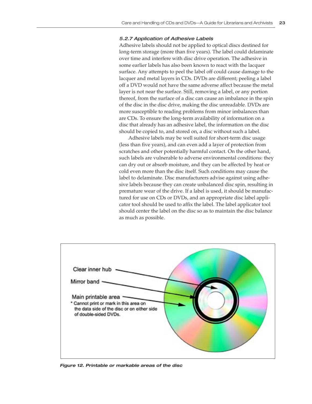#### 5.2.7 Application of Adhesive Labels

Adhesive labels should not be applied to optical discs destined for long-term storage (more than five years). The label could delaminate over time and interfere with disc drive operation. The adhesive in some earlier labels has also been known to react with the lacquer surface. Any attempts to peel the label off could cause damage to the lacquer and metal layers in CDs. DVDs are different; peeling a label off a DVD would not have the same adverse affect because the metal layer is not near the surface. Still, removing a label, or any portion thereof, from the surface of a disc can cause an imbalance in the spin of the disc in the disc drive, making the disc unreadable. DVDs are more susceptible to reading problems from minor imbalances than are CDs. To ensure the long-term availability of information on a disc that already has an adhesive label, the information on the disc should be copied to, and stored on, a disc without such a label.

Adhesive labels may be well suited for short-term disc usage (less than five years), and can even add a layer of protection from scratches and other potentially harmful contact. On the other hand, such labels are vulnerable to adverse environmental conditions: they can dry out or absorb moisture, and they can be affected by heat or cold even more than the disc itself. Such conditions may cause the label to delaminate. Disc manufacturers advise against using adhesive labels because they can create unbalanced disc spin, resulting in premature wear of the drive. If a label is used, it should be manufactured for use on CDs or DVDs, and an appropriate disc label applicator tool should be used to affix the label. The label applicator tool should center the label on the disc so as to maintain the disc balance as much as possible.



**Figure 12. Printable or markable areas of the disc**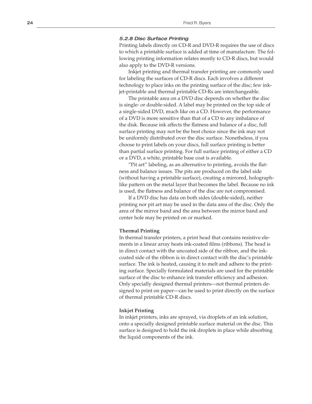#### 5.2.8 Disc Surface Printing

Printing labels directly on CD-R and DVD-R requires the use of discs to which a printable surface is added at time of manufacture. The fol lowing printing information relates mostly to CD-R discs, but would also apply to the DVD-R versions.

Inkjet printing and thermal transfer printing are commonly used for labeling the surfaces of CD-R discs. Each involves a different technology to place inks on the printing surface of the disc; few ink jet-printable and thermal printable CD-Rs are interchangeable.

The printable area on a DVD disc depends on whether the disc is single- or double-sided. A label may be printed on the top side of a single-sided DVD, much like on a CD. However, the performance of a DVD is more sensitive than that of a CD to any imbalance of the disk. Because ink affects the flatness and balance of a disc, full surface printing may not be the best choice since the ink may not be uniformly distributed over the disc surface. Nonetheless, if you choose to print labels on your discs, full surface printing is better than partial surface printing. For full surface printing of either a CD or a DVD, a white, printable base coat is available.

"Pit art" labeling, as an alternative to printing, avoids the flat ness and balance issues. The pits are produced on the label side (without having a printable surface), creating a mirrored, holographlike pattern on the metal layer that becomes the label. Because no ink is used, the flatness and balance of the disc are not compromised.

If a DVD disc has data on both sides (double-sided), neither printing nor pit art may be used in the data area of the disc. Only the area of the mirror band and the area between the mirror band and center hole may be printed on or marked.

#### **Thermal Printing**

In thermal transfer printers, a print head that contains resistive ele ments in a linear array heats ink-coated films (ribbons). The head is in direct contact with the uncoated side of the ribbon, and the inkcoated side of the ribbon is in direct contact with the disc's printable surface. The ink is heated, causing it to melt and adhere to the print ing surface. Specially formulated materials are used for the printable surface of the disc to enhance ink transfer efficiency and adhesion. Only specially designed thermal printers—not thermal printers de signed to print on paper—can be used to print directly on the surface of thermal printable CD-R discs.

#### **Inkjet Printing**

In inkjet printers, inks are sprayed, via droplets of an ink solution, onto a specially designed printable surface material on the disc. This surface is designed to hold the ink droplets in place while absorbing the liquid components of the ink.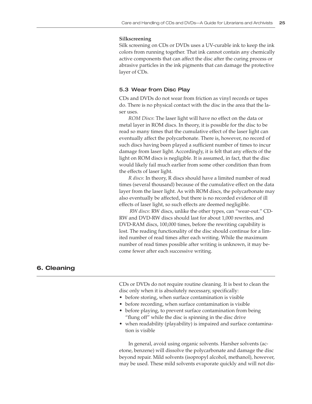#### **Silkscreening**

Silk screening on CDs or DVDs uses a UV-curable ink to keep the ink colors from running together. That ink cannot contain any chemically active components that can affect the disc after the curing process or abrasive particles in the ink pigments that can damage the protective layer of CDs.

#### 5.3 Wear from Disc Play

CDs and DVDs do not wear from friction as vinyl records or tapes do. There is no physical contact with the disc in the area that the laser uses.

*ROM Discs*: The laser light will have no effect on the data or metal layer in ROM discs. In theory, it is possible for the disc to be read so many times that the cumulative effect of the laser light can eventually affect the polycarbonate. There is, however, no record of such discs having been played a sufficient number of times to incur damage from laser light. Accordingly, it is felt that any effects of the light on ROM discs is negligible. It is assumed, in fact, that the disc would likely fail much earlier from some other condition than from the effects of laser light.

*R discs*: In theory, R discs should have a limited number of read times (several thousand) because of the cumulative effect on the data layer from the laser light. As with ROM discs, the polycarbonate may also eventually be affected, but there is no recorded evidence of ill effects of laser light, so such effects are deemed negligible.

*RW discs*: RW discs, unlike the other types, can "wear-out." CD-RW and DVD-RW discs should last for about 1,000 rewrites, and DVD-RAM discs, 100,000 times, before the rewriting capability is lost. The reading functionality of the disc should continue for a limited number of read times after each writing. While the maximum number of read times possible after writing is unknown, it may become fewer after each successive writing.

#### **6. Cleaning**

CDs or DVDs do not require routine cleaning. It is best to clean the disc only when it is absolutely necessary, specifically:

- before storing, when surface contamination is visible
- before recording, when surface contamination is visible
- before playing, to prevent surface contamination from being "flung off" while the disc is spinning in the disc drive
- when readability (playability) is impaired and surface contamination is visible

In general, avoid using organic solvents. Harsher solvents (acetone, benzene) will dissolve the polycarbonate and damage the disc beyond repair. Mild solvents (isopropyl alcohol, methanol), however, may be used. These mild solvents evaporate quickly and will not dis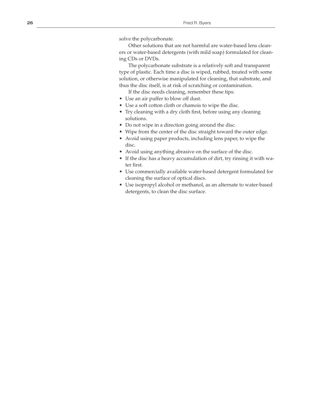solve the polycarbonate.

Other solutions that are not harmful are water-based lens clean ers or water-based detergents (with mild soap) formulated for clean ing CDs or DVDs.

The polycarbonate substrate is a relatively soft and transparent type of plastic. Each time a disc is wiped, rubbed, treated with some solution, or otherwise manipulated for cleaning, that substrate, and thus the disc itself, is at risk of scratching or contamination.

If the disc needs cleaning, remember these tips:

- Use an air puffer to blow off dust.
- Use a soft cotton cloth or chamois to wipe the disc.
- Try cleaning with a dry cloth first, before using any cleaning solutions.
- Do not wipe in a direction going around the disc.
- Wipe from the center of the disc straight toward the outer edge.
- Avoid using paper products, including lens paper, to wipe the disc.
- Avoid using anything abrasive on the surface of the disc.
- If the disc has a heavy accumulation of dirt, try rinsing it with wa ter first.
- Use commercially available water-based detergent formulated for cleaning the surface of optical discs.
- Use isopropyl alcohol or methanol, as an alternate to water-based detergents, to clean the disc surface.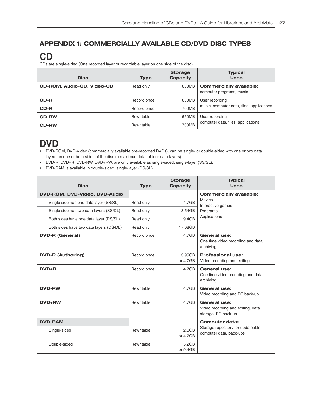## **APPENDIX 1: COMMERCIALLY AVAILABLE CD/DVD DISC TYPES**

## **CD**

CDs are single-sided (One recorded layer or recordable layer on one side of the disc)

| <b>Disc</b>                       | <b>Type</b> | <b>Storage</b><br><b>Capacity</b> | <b>Typical</b><br><b>Uses</b>                              |  |
|-----------------------------------|-------------|-----------------------------------|------------------------------------------------------------|--|
| <b>CD-ROM, Audio-CD, Video-CD</b> | Read only   | 650MB                             | <b>Commercially available:</b><br>computer programs, music |  |
| $CD-R$                            | Record once | 650MB                             | User recording                                             |  |
| $CD-R$                            | Record once | 700MB                             | music, computer data, files, applications                  |  |
| <b>CD-RW</b>                      | Rewritable  | 650MB                             | User recording                                             |  |
| <b>CD-RW</b>                      | Rewritable  | 700MB                             | computer data, files, applications                         |  |

## **DVD**

• DVD-ROM, DVD-Video (commercially available pre-recorded DVDs), can be single- or double-sided with one or two data layers on one or both sides of the disc (a maximum total of four data layers).

- DVD-R, DVD+R, DVD-RW, DVD+RW, are only available as single-sided, single-layer (SS/SL).
- DVD-RAM is available in double-sided, single-layer (DS/SL).

| <b>Disc</b>                             | <b>Type</b> | <b>Storage</b><br><b>Capacity</b> | <b>Typical</b><br><b>Uses</b>                                                   |
|-----------------------------------------|-------------|-----------------------------------|---------------------------------------------------------------------------------|
| DVD-ROM, DVD-Video, DVD-Audio           |             |                                   | <b>Commercially available:</b>                                                  |
| Single side has one data layer (SS/SL)  | Read only   | 4.7GB                             | <b>Movies</b><br>Interactive games                                              |
| Single side has two data layers (SS/DL) | Read only   | 8.54GB                            | Programs                                                                        |
| Both sides have one data layer (DS/SL)  | Read only   | 9.4GB                             | Applications                                                                    |
| Both sides have two data layers (DS/DL) | Read only   | 17.08GB                           |                                                                                 |
| <b>DVD-R (General)</b>                  | Record once | 4.7GB                             | General use:<br>One time video recording and data<br>archiving                  |
| <b>DVD-R (Authoring)</b>                | Record once | 3.95GB<br>or $4.7GB$              | Professional use:<br>Video recording and editing                                |
| $DVD+R$                                 | Record once | 4.7GB                             | <b>General use:</b><br>One time video recording and data<br>archiving           |
| <b>DVD-RW</b>                           | Rewritable  | 4.7GB                             | <b>General use:</b><br>Video recording and PC back-up                           |
| <b>DVD+RW</b>                           | Rewritable  | 4.7GB                             | <b>General use:</b><br>Video recording and editing, data<br>storage, PC back-up |
| <b>DVD-RAM</b>                          |             |                                   | <b>Computer data:</b>                                                           |
| Single-sided                            | Rewritable  | 2.6GB<br>or $4.7GB$               | Storage repository for updateable<br>computer data, back-ups                    |
| Double-sided                            | Rewritable  | 5.2GB<br>or $9.4GB$               |                                                                                 |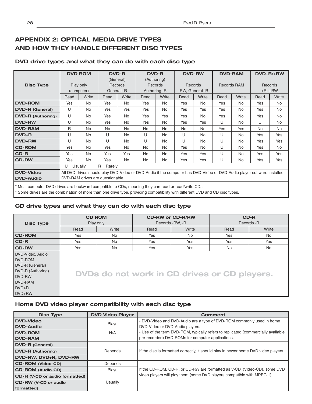## **APPENDIX 2: OPTICAL MEDIA DRIVE TYPES AND HOW THEY HANDLE DIFFERENT DISC TYPES**

#### **DVD drive types and what they can do with each disc type**

|                          |                                                                                                                         | <b>DVD ROM</b> |           | <b>DVD-R</b>         |      | <b>DVD-R</b>           | <b>DVD-RW</b> |                 |      | <b>DVD-RAM</b>     |            | $DVD+R/+RW$  |  |
|--------------------------|-------------------------------------------------------------------------------------------------------------------------|----------------|-----------|----------------------|------|------------------------|---------------|-----------------|------|--------------------|------------|--------------|--|
| <b>Disc Type</b>         |                                                                                                                         | Play only      |           | (General)<br>Records |      | (Authoring)<br>Records |               | Records         |      | <b>Records RAM</b> |            | Records      |  |
|                          |                                                                                                                         | (computer)     |           | General -R           |      | Authoring - R          |               | -RW, General -R |      |                    |            | $+R$ , $+RW$ |  |
|                          | Read                                                                                                                    | Write          | Read      | Write                | Read | Write                  | Read          | Write           | Read | Write              | Read       | Write        |  |
|                          |                                                                                                                         |                |           |                      |      |                        |               |                 |      |                    |            |              |  |
| <b>DVD-ROM</b>           | Yes                                                                                                                     | No             | Yes       | <b>No</b>            | Yes  | <b>No</b>              | Yes           | <b>No</b>       | Yes  | <b>No</b>          | Yes        | <b>No</b>    |  |
| DVD-R (General)          | U                                                                                                                       | No.            | Yes       | Yes                  | Yes  | <b>No</b>              | <b>Yes</b>    | Yes             | Yes  | No                 | <b>Yes</b> | <b>No</b>    |  |
| <b>DVD-R (Authoring)</b> | U                                                                                                                       | No.            | Yes       | No                   | Yes  | Yes                    | Yes           | <b>No</b>       | Yes  | <b>No</b>          | Yes        | <b>No</b>    |  |
| <b>DVD-RW</b>            | U                                                                                                                       | <b>No</b>      | Yes       | <b>No</b>            | Yes  | <b>No</b>              | Yes           | Yes             | U    | <b>No</b>          | $\cup$     | <b>No</b>    |  |
| <b>DVD-RAM</b>           | R                                                                                                                       | No.            | <b>No</b> | No                   | No   | <b>No</b>              | No            | <b>No</b>       | Yes  | Yes                | <b>No</b>  | No           |  |
| $DVD+R$                  | U                                                                                                                       | No.            | U         | <b>No</b>            | U    | <b>No</b>              | U             | <b>No</b>       | U    | No                 | Yes        | Yes          |  |
| DVD+RW                   | U                                                                                                                       | No.            | U         | <b>No</b>            | U    | <b>No</b>              | U             | <b>No</b>       | U    | No                 | Yes        | Yes          |  |
| <b>CD-ROM</b>            | Yes                                                                                                                     | No             | Yes       | <b>No</b>            | No   | <b>No</b>              | Yes           | <b>No</b>       | U    | <b>No</b>          | Yes        | <b>No</b>    |  |
| <b>CD-R</b>              | Yes                                                                                                                     | No             | Yes       | Yes                  | No   | <b>No</b>              | Yes           | Yes             | U    | <b>No</b>          | Yes        | Yes          |  |
| <b>CD-RW</b>             | Yes                                                                                                                     | <b>No</b>      | Yes       | No                   | No   | <b>No</b>              | Yes           | Yes             | U    | <b>No</b>          | Yes        | Yes          |  |
|                          | $U = U$ sually<br>$R =$ Rarely                                                                                          |                |           |                      |      |                        |               |                 |      |                    |            |              |  |
| <b>DVD-Video</b>         | All DVD drives should play DVD-Video or DVD-Audio if the computer has DVD-Video or DVD-Audio player software installed. |                |           |                      |      |                        |               |                 |      |                    |            |              |  |
| <b>DVD-Audio</b>         | DVD-RAM drives are questionable.                                                                                        |                |           |                      |      |                        |               |                 |      |                    |            |              |  |

\* Most computer DVD drives are backward compatible to CDs, meaning they can read or read/write CDs.

\* Some drives are the combination of more than one drive type, providing compatibility with different DVD and CD disc types.

#### **CD drive types and what they can do with each disc type**

| <b>Disc Type</b>                                                                                                          | <b>CD ROM</b> | Play only | <b>CD-RW or CD-R/RW</b><br>Records - RW, - R |       | <b>CD-R</b><br>Records - R                   |           |  |
|---------------------------------------------------------------------------------------------------------------------------|---------------|-----------|----------------------------------------------|-------|----------------------------------------------|-----------|--|
|                                                                                                                           | Read          | Write     |                                              | Write | Read                                         | Write     |  |
| <b>CD-ROM</b>                                                                                                             | <b>Yes</b>    | No        | Yes<br><b>No</b>                             |       | Yes                                          | <b>No</b> |  |
| <b>CD-R</b>                                                                                                               | Yes           | No        | Yes                                          | Yes   | Yes                                          | Yes       |  |
| <b>CD-RW</b>                                                                                                              | Yes           | No        | Yes                                          | Yes   | <b>No</b>                                    | No        |  |
| DVD-Video, Audio<br><b>DVD-ROM</b><br>DVD-R (General)<br>DVD-R (Authoring)<br>DVD-RW<br><b>DVD-RAM</b><br>DVD+R<br>DVD+RW |               |           |                                              |       | DVDs do not work in CD drives or CD players. |           |  |

#### **Home DVD video player compatibility with each disc type**

| <b>Disc Type</b>               | <b>DVD Video Player</b> | Comment                                                                             |  |  |  |
|--------------------------------|-------------------------|-------------------------------------------------------------------------------------|--|--|--|
| DVD-Video                      | Plays                   | - DVD-Video and DVD-Audio are a type of DVD-ROM commonly used in home               |  |  |  |
| DVD-Audio                      |                         | DVD-Video or DVD-Audio players.                                                     |  |  |  |
| <b>DVD-ROM</b>                 | N/A                     | - Use of the term DVD-ROM, typically refers to replicated (commercially available   |  |  |  |
| <b>DVD-RAM</b>                 |                         | pre-recorded) DVD-ROMs for computer applications.                                   |  |  |  |
| <b>DVD-R (General)</b>         |                         |                                                                                     |  |  |  |
| <b>DVD-R (Authoring)</b>       | Depends                 | If the disc is formatted correctly, it should play in newer home DVD video players. |  |  |  |
| DVD-RW, DVD+R, DVD+RW          |                         |                                                                                     |  |  |  |
| CD-ROM (Video-CD)              | Depends                 |                                                                                     |  |  |  |
| <b>CD-ROM (Audio-CD)</b>       | Plays                   | If the CD-ROM, CD-R, or CD-RW are formatted as V-CD, (Video-CD), some DVD           |  |  |  |
| CD-R (V-CD or audio formatted) |                         | video players will play them (some DVD players compatible with MPEG 1).             |  |  |  |
| CD-RW (V-CD or audio           | <b>Usually</b>          |                                                                                     |  |  |  |
| formatted)                     |                         |                                                                                     |  |  |  |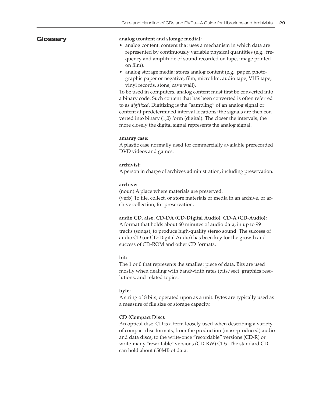#### **Glossary**

#### **analog (content and storage media):**

- analog content: content that uses a mechanism in which data are represented by continuously variable physical quantities (e.g., frequency and amplitude of sound recorded on tape, image printed on film).
- analog storage media: stores analog content (e.g., paper, photographic paper or negative, film, microfilm, audio tape, VHS tape, vinyl records, stone, cave wall).

To be used in computers, analog content must first be converted into a binary code. Such content that has been converted is often referred to as *digitized*. Digitizing is the "sampling" of an analog signal or content at predetermined interval locations; the signals are then converted into binary (1,0) form (digital). The closer the intervals, the more closely the digital signal represents the analog signal.

#### **amaray case:**

A plastic case normally used for commercially available prerecorded DVD videos and games.

#### **archivist:**

A person in charge of archives administration, including preservation.

#### **archive:**

(noun) A place where materials are preserved. (verb) To file, collect, or store materials or media in an archive, or archive collection, for preservation.

#### **audio CD, also, CD-DA (CD-Digital Audio), CD-A (CD-Audio):**

A format that holds about 60 minutes of audio data, in up to 99 tracks (songs), to produce high-quality stereo sound. The success of audio CD (or CD-Digital Audio) has been key for the growth and success of CD-ROM and other CD formats.

#### **bit:**

The 1 or 0 that represents the smallest piece of data. Bits are used mostly when dealing with bandwidth rates (bits/sec), graphics resolutions, and related topics.

#### **byte:**

A string of 8 bits, operated upon as a unit. Bytes are typically used as a measure of file size or storage capacity.

#### **CD (Compact Disc):**

An optical disc. CD is a term loosely used when describing a variety of compact disc formats, from the production (mass-produced) audio and data discs, to the write-once "recordable" versions (CD-R) or write-many "rewritable" versions (CD-RW) CDs. The standard CD can hold about 650MB of data.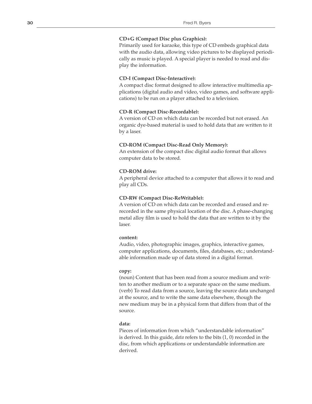#### **CD+G (Compact Disc plus Graphics):**

Primarily used for karaoke, this type of CD embeds graphical data with the audio data, allowing video pictures to be displayed periodically as music is played. A special player is needed to read and display the information.

#### **CD-I (Compact Disc-Interactive):**

A compact disc format designed to allow interactive multimedia applications (digital audio and video, video games, and software applications) to be run on a player attached to a television.

#### **CD-R (Compact Disc-Recordable):**

A version of CD on which data can be recorded but not erased. An organic dye-based material is used to hold data that are written to it by a laser.

#### **CD-ROM (Compact Disc-Read Only Memory):**

An extension of the compact disc digital audio format that allows computer data to be stored.

#### **CD-ROM drive:**

A peripheral device attached to a computer that allows it to read and play all CDs.

#### **CD-RW (Compact Disc-ReWritable):**

A version of CD on which data can be recorded and erased and rerecorded in the same physical location of the disc. A phase-changing metal alloy film is used to hold the data that are written to it by the laser.

#### **content:**

Audio, video, photographic images, graphics, interactive games, computer applications, documents, files, databases, etc.; understandable information made up of data stored in a digital format.

#### **copy:**

(noun) Content that has been read from a source medium and written to another medium or to a separate space on the same medium. (verb) To read data from a source, leaving the source data unchanged at the source, and to write the same data elsewhere, though the new medium may be in a physical form that differs from that of the source.

#### **data:**

Pieces of information from which "understandable information" is derived. In this guide, *data* refers to the bits (1, 0) recorded in the disc, from which applications or understandable information are derived.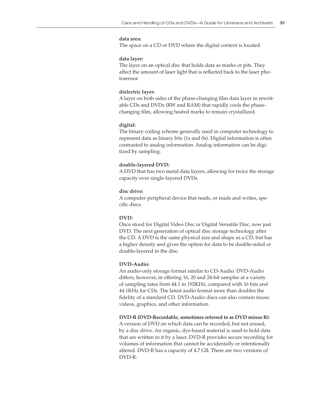#### **data area:**

The space on a CD or DVD where the digital content is located.

#### **data layer:**

The layer on an optical disc that holds data as marks or pits. They affect the amount of laser light that is reflected back to the laser photosensor.

#### **dielectric layer:**

A layer on both sides of the phase-changing film data layer in rewritable CDs and DVDs (RW and RAM) that rapidly cools the phasechanging film, allowing heated marks to remain crystallized.

#### **digital:**

The binary coding scheme generally used in computer technology to represent data as binary bits (1s and 0s). Digital information is often contrasted to analog information. Analog information can be digitized by sampling.

#### **double-layered DVD:**

A DVD that has two metal data layers, allowing for twice the storage capacity over single-layered DVDs.

#### **disc drive:**

A computer peripheral device that reads, or reads and writes, specific discs.

#### **DVD:**

Once stood for Digital Video Disc or Digital Versatile Disc, now just DVD. The next generation of optical disc storage technology after the CD. A DVD is the same physical size and shape as a CD, but has a higher density and gives the option for data to be double-sided or double-layered in the disc.

#### **DVD-Audio:**

An audio-only storage format similar to CD-Audio. DVD-Audio differs, however, in offering 16, 20 and 24-bit samples at a variety of sampling rates from 44.1 to 192KHz, compared with 16 bits and 44.1KHz for CDs. The latest audio format more than doubles the fidelity of a standard CD. DVD-Audio discs can also contain music videos, graphics, and other information.

#### **DVD-R (DVD-Recordable, sometimes referred to as DVD minus R):**

A version of DVD on which data can be recorded, but not erased, by a disc drive. An organic, dye-based material is used to hold data that are written to it by a laser. DVD-R provides secure recording for volumes of information that cannot be accidentally or intentionally altered. DVD-R has a capacity of 4.7 GB. There are two versions of DVD-R: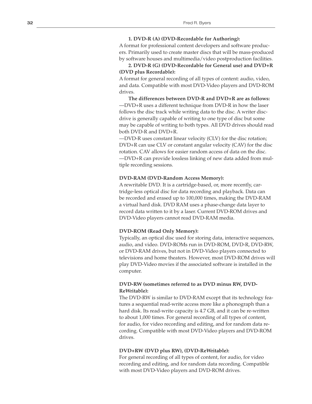#### **1. DVD-R (A) (DVD-Recordable for Authoring):**

A format for professional content developers and software produc ers. Primarily used to create master discs that will be mass-produced by software houses and multimedia/video postproduction facilities.

#### **2. DVD-R (G) (DVD-Recordable for General use) and DVD+R (DVD plus Recordable):**

A format for general recording of all types of content: audio, video, and data. Compatible with most DVD-Video players and DVD-ROM drives.

**The differences between DVD-R and DVD+R are as follows:** —DVD+R uses a different technique from DVD-R in how the laser follows the disc track while writing data to the disc. A writer discdrive is generally capable of writing to one type of disc but some may be capable of writing to both types. All DVD drives should read both DVD-R and DVD+R.

—DVD-R uses constant linear velocity (CLV) for the disc rotation; DVD+R can use CLV or constant angular velocity (CAV) for the disc rotation. CAV allows for easier random access of data on the disc. —DVD+R can provide lossless linking of new data added from mul tiple recording sessions.

#### **DVD-RAM (DVD-Random Access Memory):**

A rewritable DVD. It is a cartridge-based, or, more recently, car tridge-less optical disc for data recording and playback. Data can be recorded and erased up to 100,000 times, making the DVD-RAM a virtual hard disk. DVD RAM uses a phase-change data layer to record data written to it by a laser. Current DVD-ROM drives and DVD-Video players cannot read DVD-RAM media.

#### **DVD-ROM (Read Only Memory):**

Typically, an optical disc used for storing data, interactive sequences, audio, and video. DVD-ROMs run in DVD-ROM, DVD-R, DVD-RW, or DVD-RAM drives, but not in DVD-Video players connected to televisions and home theaters. However, most DVD-ROM drives will play DVD-Video movies if the associated software is installed in the computer.

#### **DVD-RW (sometimes referred to as DVD minus RW, DVD-ReWritable):**

The DVD-RW is similar to DVD-RAM except that its technology fea tures a sequential read-write access more like a phonograph than a hard disk. Its read-write capacity is 4.7 GB, and it can be re-written to about 1,000 times. For general recording of all types of content, for audio, for video recording and editing, and for random data re cording. Compatible with most DVD-Video players and DVD-ROM drives.

#### **DVD+RW (DVD plus RW), (DVD-ReWritable):**

For general recording of all types of content, for audio, for video recording and editing, and for random data recording. Compatible with most DVD-Video players and DVD-ROM drives.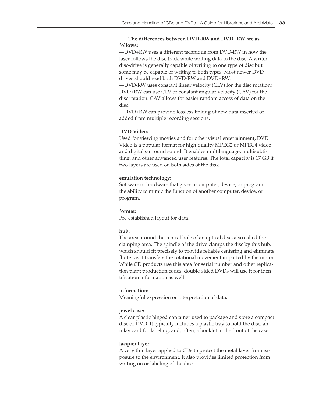#### **The differences between DVD-RW and DVD+RW are as follows:**

—DVD+RW uses a different technique from DVD-RW in how the laser follows the disc track while writing data to the disc. A writer disc-drive is generally capable of writing to one type of disc but some may be capable of writing to both types. Most newer DVD drives should read both DVD-RW and DVD+RW.

—DVD-RW uses constant linear velocity (CLV) for the disc rotation; DVD+RW can use CLV or constant angular velocity (CAV) for the disc rotation. CAV allows for easier random access of data on the disc.

—DVD+RW can provide lossless linking of new data inserted or added from multiple recording sessions.

#### **DVD Video:**

Used for viewing movies and for other visual entertainment, DVD Video is a popular format for high-quality MPEG2 or MPEG4 video and digital surround sound. It enables multilanguage, multisubtitling, and other advanced user features. The total capacity is 17 GB if two layers are used on both sides of the disk.

#### **emulation technology:**

Software or hardware that gives a computer, device, or program the ability to mimic the function of another computer, device, or program.

#### **format:**

Pre-established layout for data.

#### **hub:**

The area around the central hole of an optical disc, also called the clamping area. The spindle of the drive clamps the disc by this hub, which should fit precisely to provide reliable centering and eliminate flutter as it transfers the rotational movement imparted by the motor. While CD products use this area for serial number and other replication plant production codes, double-sided DVDs will use it for identification information as well.

#### **information:**

Meaningful expression or interpretation of data.

#### **jewel case:**

A clear plastic hinged container used to package and store a compact disc or DVD. It typically includes a plastic tray to hold the disc, an inlay card for labeling, and, often, a booklet in the front of the case.

#### **lacquer layer:**

A very thin layer applied to CDs to protect the metal layer from exposure to the environment. It also provides limited protection from writing on or labeling of the disc.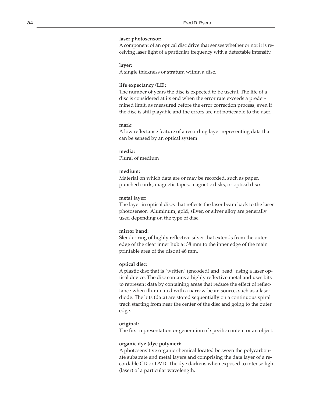#### **laser photosensor:**

A component of an optical disc drive that senses whether or not it is receiving laser light of a particular frequency with a detectable intensity.

#### **layer:**

A single thickness or stratum within a disc.

#### **life expectancy (LE):**

The number of years the disc is expected to be useful. The life of a disc is considered at its end when the error rate exceeds a predermined limit, as measured before the error correction process, even if the disc is still playable and the errors are not noticeable to the user.

#### **mark:**

A low reflectance feature of a recording layer representing data that can be sensed by an optical system.

#### **media:**

Plural of medium

#### **medium:**

Material on which data are or may be recorded, such as paper, punched cards, magnetic tapes, magnetic disks, or optical discs.

#### **metal layer:**

The layer in optical discs that reflects the laser beam back to the laser photosensor. Aluminum, gold, silver, or silver alloy are generally used depending on the type of disc.

#### **mirror band:**

Slender ring of highly reflective silver that extends from the outer edge of the clear inner hub at 38 mm to the inner edge of the main printable area of the disc at 46 mm.

#### **optical disc:**

A plastic disc that is "written" (encoded) and "read" using a laser optical device. The disc contains a highly reflective metal and uses bits to represent data by containing areas that reduce the effect of reflectance when illuminated with a narrow-beam source, such as a laser diode. The bits (data) are stored sequentially on a continuous spiral track starting from near the center of the disc and going to the outer edge.

#### **original:**

The first representation or generation of specific content or an object.

#### **organic dye (dye polymer):**

A photosensitive organic chemical located between the polycarbonate substrate and metal layers and comprising the data layer of a recordable CD or DVD. The dye darkens when exposed to intense light (laser) of a particular wavelength.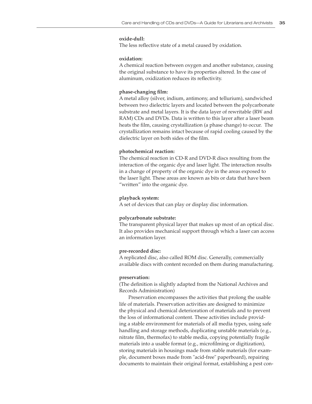#### **oxide-dull:**

The less reflective state of a metal caused by oxidation.

#### **oxidation:**

A chemical reaction between oxygen and another substance, causing the original substance to have its properties altered. In the case of aluminum, oxidization reduces its reflectivity.

#### **phase-changing film:**

A metal alloy (silver, indium, antimony, and tellurium), sandwiched between two dielectric layers and located between the polycarbonate substrate and metal layers. It is the data layer of rewritable (RW and RAM) CDs and DVDs. Data is written to this layer after a laser beam heats the film, causing crystallization (a phase change) to occur. The crystallization remains intact because of rapid cooling caused by the dielectric layer on both sides of the film.

#### **photochemical reaction:**

The chemical reaction in CD-R and DVD-R discs resulting from the interaction of the organic dye and laser light. The interaction results in a change of property of the organic dye in the areas exposed to the laser light. These areas are known as bits or data that have been "written" into the organic dye.

#### **playback system:**

A set of devices that can play or display disc information.

#### **polycarbonate substrate:**

The transparent physical layer that makes up most of an optical disc. It also provides mechanical support through which a laser can access an information layer.

#### **pre-recorded disc:**

A replicated disc, also called ROM disc. Generally, commercially available discs with content recorded on them during manufacturing.

#### **preservation:**

(The definition is slightly adapted from the National Archives and Records Administration)

Preservation encompasses the activities that prolong the usable life of materials. Preservation activities are designed to minimize the physical and chemical deterioration of materials and to prevent the loss of informational content. These activities include providing a stable environment for materials of all media types, using safe handling and storage methods, duplicating unstable materials (e.g., nitrate film, thermofax) to stable media, copying potentially fragile materials into a usable format (e.g., microfilming or digitization), storing materials in housings made from stable materials (for example, document boxes made from "acid-free" paperboard), repairing documents to maintain their original format, establishing a pest con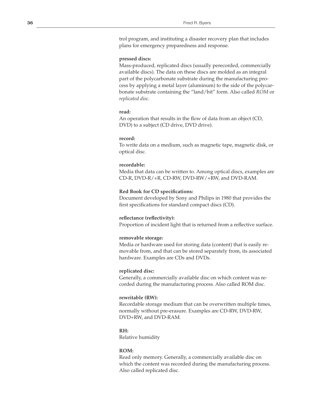trol program, and instituting a disaster recovery plan that includes plans for emergency preparedness and response.

#### **pressed discs:**

Mass-produced, replicated discs (usually perecorded, commercially available discs). The data on these discs are molded as an integral part of the polycarbonate substrate during the manufacturing process by applying a metal layer (aluminum) to the side of the polycarbonate substrate containing the "land/bit" form. Also called *ROM* or *replicated disc*.

#### **read:**

An operation that results in the flow of data from an object (CD, DVD) to a subject (CD drive, DVD drive).

#### **record:**

To write data on a medium, such as magnetic tape, magnetic disk, or optical disc.

#### **recordable:**

Media that data can be written to. Among optical discs, examples are CD-R, DVD-R/+R, CD-RW, DVD-RW/+RW, and DVD-RAM.

#### **Red Book for CD specifications:**

Document developed by Sony and Philips in 1980 that provides the first specifications for standard compact discs (CD).

#### **reflectance (reflectivity):**

Proportion of incident light that is returned from a reflective surface.

#### **removable storage:**

Media or hardware used for storing data (content) that is easily removable from, and that can be stored separately from, its associated hardware. Examples are CDs and DVDs.

#### **replicated disc:**

Generally, a commercially available disc on which content was recorded during the manufacturing process. Also called ROM disc.

#### **rewritable (RW):**

Recordable storage medium that can be overwritten multiple times, normally without pre-erasure. Examples are CD-RW, DVD-RW, DVD+RW, and DVD-RAM.

#### **RH:**

Relative humidity

#### **ROM:**

Read only memory. Generally, a commercially available disc on which the content was recorded during the manufacturing process. Also called replicated disc.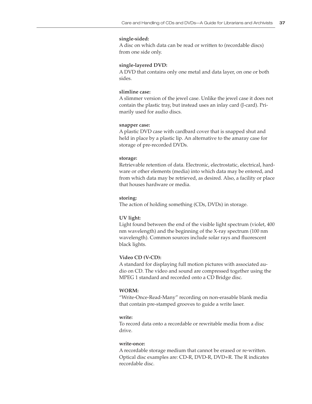#### **single-sided:**

A disc on which data can be read or written to (recordable discs) from one side only.

#### **single-layered DVD:**

A DVD that contains only one metal and data layer, on one or both sides.

#### **slimline case:**

A slimmer version of the jewel case. Unlike the jewel case it does not contain the plastic tray, but instead uses an inlay card (J-card). Primarily used for audio discs.

#### **snapper case:**

A plastic DVD case with cardbard cover that is snapped shut and held in place by a plastic lip. An alternative to the amaray case for storage of pre-recorded DVDs.

#### **storage:**

Retrievable retention of data. Electronic, electrostatic, electrical, hardware or other elements (media) into which data may be entered, and from which data may be retrieved, as desired. Also, a facility or place that houses hardware or media.

#### **storing:**

The action of holding something (CDs, DVDs) in storage.

#### **UV light:**

Light found between the end of the visible light spectrum (violet, 400 nm wavelength) and the beginning of the X-ray spectrum (100 nm wavelength). Common sources include solar rays and fluorescent black lights.

#### **Video CD (V-CD):**

A standard for displaying full motion pictures with associated audio on CD. The video and sound are compressed together using the MPEG 1 standard and recorded onto a CD Bridge disc.

#### **WORM:**

"Write-Once-Read-Many" recording on non-erasable blank media that contain pre-stamped grooves to guide a write laser.

#### **write:**

To record data onto a recordable or rewritable media from a disc drive.

#### **write-once:**

A recordable storage medium that cannot be erased or re-written. Optical disc examples are: CD-R, DVD-R, DVD+R. The R indicates recordable disc.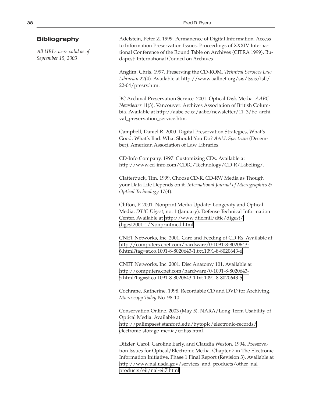#### **Bibliography**

*All URLs were valid as of September 15, 2003*

Adelstein, Peter Z. 1999. Permanence of Digital Information. Access to Information Preservation Issues. Proceedings of XXXIV International Conference of the Round Table on Archives (CITRA 1999), Budapest: International Council on Archives.

Anglim, Chris. 1997. Preserving the CD-ROM. *Technical Services Law Librarian* 22(4). Available at http://www.aallnet.org/sis/tssis/tsll/ 22-04/presrv.htm.

BC Archival Preservation Service. 2001. Optical Disk Media. *AABC Newsletter* 11(3). Vancouver: Archives Association of British Columbia. Available at http://aabc.bc.ca/aabc/newsletter/11\_3/bc\_archival\_preservation\_service.htm.

Campbell, Daniel R. 2000. Digital Preservation Strategies, What's Good. What's Bad. What Should You Do? *AALL Spectrum* (December). American Association of Law Libraries.

CD-Info Company. 1997. Customizing CDs. Available at http://www.cd-info.com/CDIC/Technology/CD-R/Labeling/.

Clatterbuck, Tim. 1999. Choose CD-R, CD-RW Media as Though your Data Life Depends on it. *International Journal of Micrographics & Optical Technology* 17(4).

Clifton, P. 2001. Nonprint Media Update: Longevity and Optical Media. *DTIC Digest*, no. 1 (January). Defense Technical Information Center. Available at [http://www.dtic.mil/dtic/digest/](http://www.dtic.mil/dtic/digest/digest2001-1/Nonprintmed.html) [digest2001-1/Nonprintmed.html.](http://www.dtic.mil/dtic/digest/digest2001-1/Nonprintmed.html)

CNET Networks, Inc. 2001. Care and Feeding of CD-Rs. Available at [http://computers.cnet.com/hardware/0-1091-8-8020643-](http://computers.cnet.com/hardware/0-1091-8-8020643-6.html?tag=st.co.1091-8-8020643-1.txt.1091-8-8020643-6) [6.html?tag=st.co.1091-8-8020643-1.txt.1091-8-8020643-6.](http://computers.cnet.com/hardware/0-1091-8-8020643-6.html?tag=st.co.1091-8-8020643-1.txt.1091-8-8020643-6)

CNET Networks, Inc. 2001. Disc Anatomy 101. Available at [http://computers.cnet.com/hardware/0-1091-8-8020643-](http://computers.cnet.com/hardware/0-1091-8-8020643-5.html?tag=st.co.1091-8-8020643-1.txt.1091-8-8020643-5) [5.html?tag=st.co.1091-8-8020643-1.txt.1091-8-8020643-5.](http://computers.cnet.com/hardware/0-1091-8-8020643-5.html?tag=st.co.1091-8-8020643-1.txt.1091-8-8020643-5)

Cochrane, Katherine. 1998. Recordable CD and DVD for Archiving. *Microscopy Today* No. 98-10.

Conservation Online. 2003 (May 5). NARA/Long-Term Usability of Optical Media. Available at [http://palimpsest.stanford.edu/bytopic/electronic-records/](http://palimpsest.stanford.edu/bytopic/electronic-records/electronic-storage-media/critiss.html) [electronic-storage-media/critiss.html](http://palimpsest.stanford.edu/bytopic/electronic-records/electronic-storage-media/critiss.html).

Ditzler, Carol, Caroline Early, and Claudia Weston. 1994. Preservation Issues for Optical/Electronic Media. Chapter 7 in The Electronic Information Initiative, Phase 1 Final Report (Revision 3). Available at [http://www.nal.usda.gov/services\\_and\\_products/other\\_nal\\_](http://www.nal.usda.gov/services_and_products/other_nal_products/eii/nal-eii7.html) [products/eii/nal-eii7.html](http://www.nal.usda.gov/services_and_products/other_nal_products/eii/nal-eii7.html).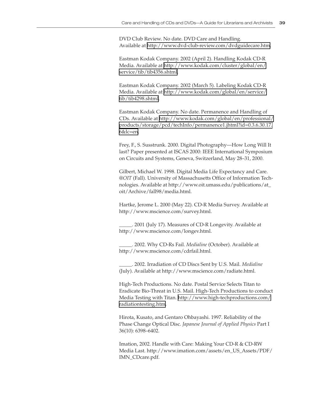DVD Club Review. No date. DVD Care and Handling. Available at <http://www.dvd-club-review.com/dvdguidecare.htm>.

Eastman Kodak Company. 2002 (April 2). Handling Kodak CD-R Media. Available at [http://www.kodak.com/cluster/global/en/](http://www.kodak.com/cluster/global/en/service/tib/tib4356.shtml) [service/tib/tib4356.shtml.](http://www.kodak.com/cluster/global/en/service/tib/tib4356.shtml)

Eastman Kodak Company. 2002 (March 5). Labeling Kodak CD-R Media. Available at [http://www.kodak.com/global/en/service/](http://www.kodak.com/global/en/service/tib/tib4298.shtml) [tib/tib4298.shtml](http://www.kodak.com/global/en/service/tib/tib4298.shtml).

Eastman Kodak Company. No date. Permanence and Handling of CDs. Available at [http://www.kodak.com/global/en/professional/](http://www.kodak.com/global/en/professional/products/storage/pcd/techInfo/permanence1.jhtml?id=0.3.6.30.17.6&lc=en) [products/storage/pcd/techInfo/permanence1.jhtml?id=0.3.6.30.17.](http://www.kodak.com/global/en/professional/products/storage/pcd/techInfo/permanence1.jhtml?id=0.3.6.30.17.6&lc=en) [6&lc=en.](http://www.kodak.com/global/en/professional/products/storage/pcd/techInfo/permanence1.jhtml?id=0.3.6.30.17.6&lc=en)

Frey, F., S. Susstrunk. 2000. Digital Photography—How Long Will It last? Paper presented at ISCAS 2000: IEEE International Symposium on Circuits and Systems, Geneva, Switzerland, May 28–31, 2000.

Gilbert, Michael W. 1998. Digital Media Life Expectancy and Care. *@OIT* (Fall). University of Massachusetts Office of Information Technologies. Available at http://www.oit.umass.edu/publications/at\_ oit/Archive/fall98/media.html.

Hartke, Jerome L. 2000 (May 22). CD-R Media Survey. Available at http://www.mscience.com/survey.html.

\_\_\_\_\_. 2001 (July 17). Measures of CD-R Longevity. Available at http://www.mscience.com/longev.html.

\_\_\_\_\_. 2002. Why CD-Rs Fail. *Medialine* (October). Available at http://www.mscience.com/cdrfail.html.

\_\_\_\_\_. 2002. Irradiation of CD Discs Sent by U.S. Mail. *Medialine*  (July). Available at http://www.mscience.com/radiate.html.

High-Tech Productions. No date. Postal Service Selects Titan to Eradicate Bio-Threat in U.S. Mail. High-Tech Productions to conduct Media Testing with Titan. [http://www.high-techproductions.com/](http://www.high-techproductions.com/radiationtesting.htm) [radiationtesting.htm.](http://www.high-techproductions.com/radiationtesting.htm)

Hirota, Kusato, and Gentaro Ohbayashi. 1997. Reliability of the Phase Change Optical Disc. *Japanese Journal of Applied Physics* Part I 36(10): 6398–6402.

Imation, 2002. Handle with Care: Making Your CD-R & CD-RW Media Last. http://www.imation.com/assets/en\_US\_Assets/PDF/ IMN\_CDcare.pdf.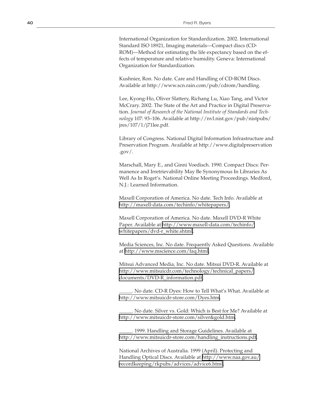International Organization for Standardization. 2002. International Standard ISO 18921, Imaging materials—Compact discs (CD-ROM)—Method for estimating the life expectancy based on the effects of temperature and relative humidity. Geneva: International Organization for Standardization.

Kushnier, Ron. No date. Care and Handling of CD-ROM Discs. Available at http://www.scn.rain.com/pub/cdrom/handling.

Lee, Kyong-Ho, Oliver Slattery, Richang Lu, Xiao Tang, and Victor McCrary. 2002. The State of the Art and Practice in Digital Preservation. *Journal of Research of the National Institute of Standards and Technology* 107: 93–106. Available at http://nvl.nist.gov/pub/nistpubs/ jres/107/1/j71lee.pdf.

Library of Congress. National Digital Information Infrastructure and Preservation Program. Available at http://www.digitalpreservation .gov/.

Marschall, Mary E., and Ginni Voedisch. 1990. Compact Discs: Permanence and Irretrievability May Be Synonymous In Libraries As Well As In Roget's. National Online Meeting Proceedings. Medford, N.J.: Learned Information.

Maxell Corporation of America. No date. Tech Info. Available at [http://maxell-data.com/techinfo/whitepapers/.](http://maxell-data.com/techinfo/whitepapers/)

Maxell Corporation of America. No date. Maxell DVD-R White Paper. Available at [http://www.maxell-data.com/techinfo/](http://www.maxell-data.com/techinfo/whitepapers/dvd-r_white.shtml) [whitepapers/dvd-r\\_white.shtml](http://www.maxell-data.com/techinfo/whitepapers/dvd-r_white.shtml).

Media Sciences, Inc. No date. Frequently Asked Questions. Available at <http://www.mscience.com/faq.html>.

Mitsui Advanced Media, Inc. No date. Mitsui DVD-R. Available at [http://www.mitsuicdr.com/technology/technical\\_papers/](http://www.mitsuicdr.com/technology/technical_papers/documents/DVD-R_information.pdf) [documents/DVD-R\\_information.pdf](http://www.mitsuicdr.com/technology/technical_papers/documents/DVD-R_information.pdf).

\_\_\_\_\_. No date. CD-R Dyes: How to Tell What's What. Available at [http://www.mitsuicdr-store.com/Dyes.htm.](http://www.mitsuicdrstore.com/Dyes.htm)

\_\_\_\_\_. No date. Silver vs. Gold: Which is Best for Me? Available at [http://www.mitsuicdr-store.com/silver&gold.htm.](http://www.mitsuicdr-store.com/silver&gold.htm)

\_\_\_\_\_. 1999. Handling and Storage Guidelines. Available at [http://www.mitsuicdr-store.com/handling\\_instructions.pdf](http://www.mitsuicdr-store.com/handling_instructions.pdf).

National Archives of Australia. 1999 (April). Protecting and Handling Optical Discs. Available at [http://www.naa.gov.au/](http://www.naa.gov.au/recordkeeping/rkpubs/advices/advice6.html) [recordkeeping/rkpubs/advices/advice6.html.](http://www.naa.gov.au/recordkeeping/rkpubs/advices/advice6.html)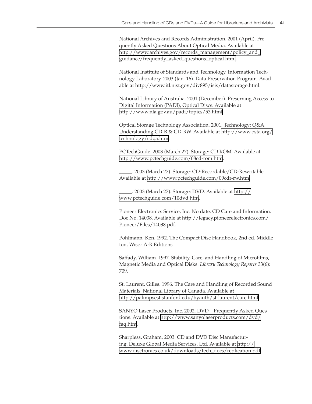National Archives and Records Administration. 2001 (April). Frequently Asked Questions About Optical Media. Available at [http://www.archives.gov/records\\_management/policy\\_and\\_](http://www.archives.gov/records_management/policy_and_guidance/frequently_asked_questions_optical.html) [guidance/frequently\\_asked\\_questions\\_optical.html.](http://www.archives.gov/records_management/policy_and_guidance/frequently_asked_questions_optical.html)

National Institute of Standards and Technology, Information Technology Laboratory. 2003 (Jan. 16). Data Preservation Program. Available at http://www.itl.nist.gov/div895/isis/datastorage.html.

National Library of Australia. 2001 (December). Preserving Access to Digital Information (PADI), Optical Discs. Available at [http://www.nla.gov.au/padi/topics/53.html.](http://www.nla.gov.au/padi/topics/53.html)

Optical Storage Technology Association. 2001. Technology: Q&A. Understanding CD-R & CD-RW. Available at [http://www.osta.org/](http://www.osta.org/technology/cdqa.htm) [technology/cdqa.htm.](http://www.osta.org/technology/cdqa.htm)

PCTechGuide. 2003 (March 27). Storage: CD ROM. Available at <http://www.pctechguide.com/08cd-rom.htm>.

\_\_\_\_\_. 2003 (March 27). Storage: CD-Recordable/CD-Rewritable. Available at <http://www.pctechguide.com/09cdr-rw.htm>.

\_\_\_\_\_. 2003 (March 27). Storage: DVD. Available at [http://](http://www.pctechguide.com/10dvd.htm) [www.pctechguide.com/10dvd.htm](http://www.pctechguide.com/10dvd.htm).

Pioneer Electronics Service, Inc. No date. CD Care and Information. Doc No. 14038. Available at http://legacy.pioneerelectronics.com/ Pioneer/Files/14038.pdf.

Pohlmann, Ken. 1992. The Compact Disc Handbook, 2nd ed. Middleton, Wisc.: A-R Editions.

Saffady, William. 1997. Stability, Care, and Handling of Microfilms, Magnetic Media and Optical Disks. *Library Technology Reports* 33(6): 709.

St. Laurent, Gilles. 1996. The Care and Handling of Recorded Sound Materials. National Library of Canada. Available at [http://palimpsest.stanford.edu/byauth/st-laurent/care.html](http://palimpsest.stanford.edu/byauth/st-lauent/care.html).

SANYO Laser Products, Inc. 2002. DVD—Frequently Asked Questions. Available at [http://www.sanyolaserproducts.com/dvd/](http://www.sanyolaserproducts.com/dvd/faq.htm) [faq.htm](http://www.sanyolaserproducts.com/dvd/faq.htm).

Sharpless, Graham. 2003. CD and DVD Disc Manufacturing. Deluxe Global Media Services, Ltd. Available at [http://](http://www.disctronics.co.uk/downloads/tech_docs/replication.pdf) [www.disctronics.co.uk/downloads/tech\\_docs/replication.pdf](http://www.disctronics.co.uk/downloads/tech_docs/replication.pdf).